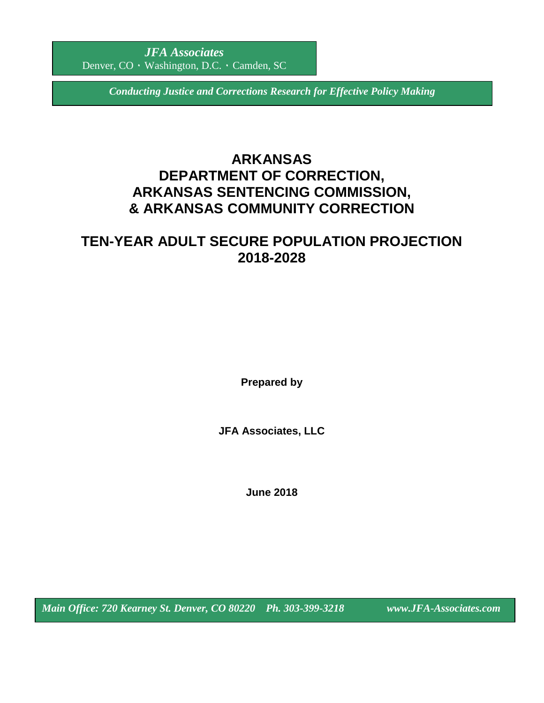*Conducting Justice and Corrections Research for Effective Policy Making*

# **ARKANSAS DEPARTMENT OF CORRECTION, ARKANSAS SENTENCING COMMISSION, & ARKANSAS COMMUNITY CORRECTION**

# **TEN-YEAR ADULT SECURE POPULATION PROJECTION 2018-2028**

**Prepared by**

**JFA Associates, LLC**

**June 2018**

*Main Office: 720 Kearney St. Denver, CO 80220 Ph. 303-399-3218 www.JFA-Associates.com*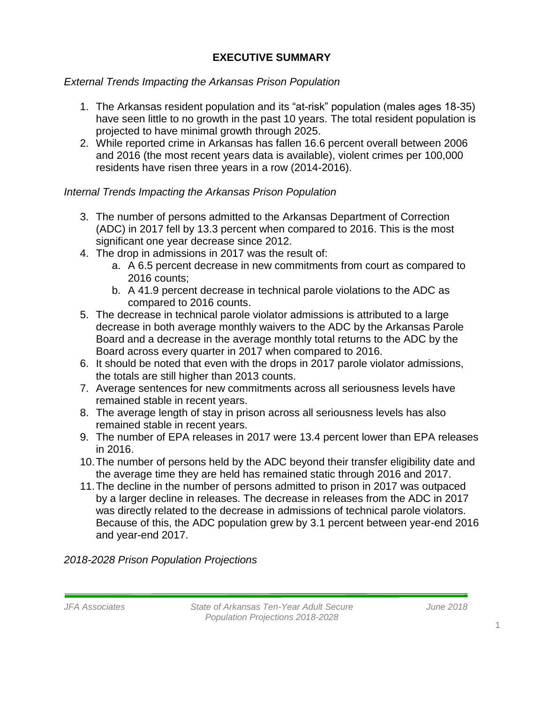# **EXECUTIVE SUMMARY**

# *External Trends Impacting the Arkansas Prison Population*

- 1. The Arkansas resident population and its "at-risk" population (males ages 18-35) have seen little to no growth in the past 10 years. The total resident population is projected to have minimal growth through 2025.
- 2. While reported crime in Arkansas has fallen 16.6 percent overall between 2006 and 2016 (the most recent years data is available), violent crimes per 100,000 residents have risen three years in a row (2014-2016).

# *Internal Trends Impacting the Arkansas Prison Population*

- 3. The number of persons admitted to the Arkansas Department of Correction (ADC) in 2017 fell by 13.3 percent when compared to 2016. This is the most significant one year decrease since 2012.
- 4. The drop in admissions in 2017 was the result of:
	- a. A 6.5 percent decrease in new commitments from court as compared to 2016 counts;
	- b. A 41.9 percent decrease in technical parole violations to the ADC as compared to 2016 counts.
- 5. The decrease in technical parole violator admissions is attributed to a large decrease in both average monthly waivers to the ADC by the Arkansas Parole Board and a decrease in the average monthly total returns to the ADC by the Board across every quarter in 2017 when compared to 2016.
- 6. It should be noted that even with the drops in 2017 parole violator admissions, the totals are still higher than 2013 counts.
- 7. Average sentences for new commitments across all seriousness levels have remained stable in recent years.
- 8. The average length of stay in prison across all seriousness levels has also remained stable in recent years.
- 9. The number of EPA releases in 2017 were 13.4 percent lower than EPA releases in 2016.
- 10.The number of persons held by the ADC beyond their transfer eligibility date and the average time they are held has remained static through 2016 and 2017.
- 11.The decline in the number of persons admitted to prison in 2017 was outpaced by a larger decline in releases. The decrease in releases from the ADC in 2017 was directly related to the decrease in admissions of technical parole violators. Because of this, the ADC population grew by 3.1 percent between year-end 2016 and year-end 2017.

# *2018-2028 Prison Population Projections*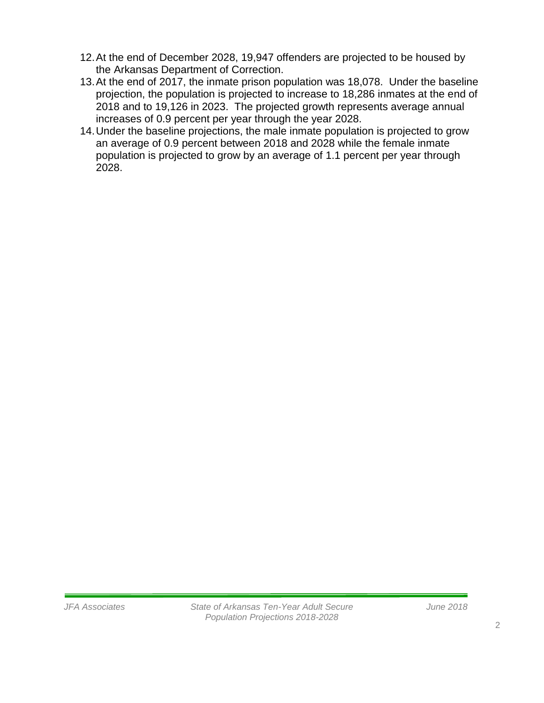- 12.At the end of December 2028, 19,947 offenders are projected to be housed by the Arkansas Department of Correction.
- 13.At the end of 2017, the inmate prison population was 18,078. Under the baseline projection, the population is projected to increase to 18,286 inmates at the end of 2018 and to 19,126 in 2023. The projected growth represents average annual increases of 0.9 percent per year through the year 2028.
- 14.Under the baseline projections, the male inmate population is projected to grow an average of 0.9 percent between 2018 and 2028 while the female inmate population is projected to grow by an average of 1.1 percent per year through 2028.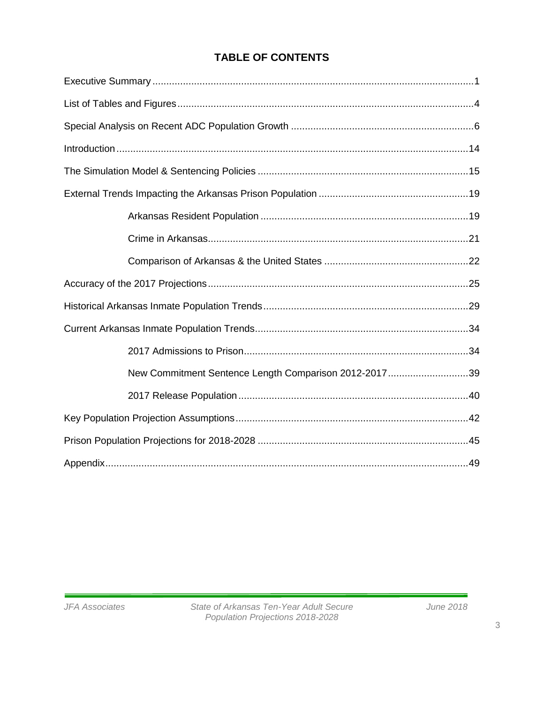# **TABLE OF CONTENTS**

| New Commitment Sentence Length Comparison 2012-201739 |  |
|-------------------------------------------------------|--|
|                                                       |  |
|                                                       |  |
|                                                       |  |
|                                                       |  |

3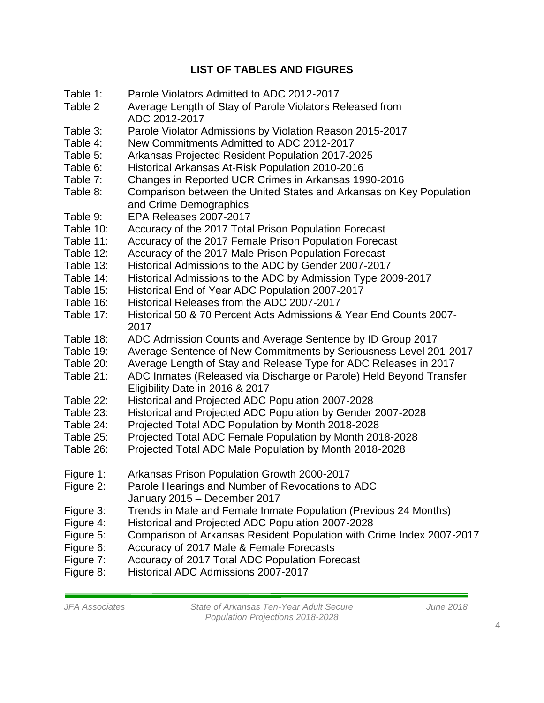# **LIST OF TABLES AND FIGURES**

- Table 1: Parole Violators Admitted to ADC 2012-2017
- Table 2 Average Length of Stay of Parole Violators Released from ADC 2012-2017
- Table 3: Parole Violator Admissions by Violation Reason 2015-2017
- Table 4: New Commitments Admitted to ADC 2012-2017
- Table 5: Arkansas Projected Resident Population 2017-2025
- Table 6: Historical Arkansas At-Risk Population 2010-2016
- Table 7: Changes in Reported UCR Crimes in Arkansas 1990-2016
- Table 8: Comparison between the United States and Arkansas on Key Population and Crime Demographics
- Table 9: EPA Releases 2007-2017
- Table 10: Accuracy of the 2017 Total Prison Population Forecast
- Table 11: Accuracy of the 2017 Female Prison Population Forecast
- Table 12: Accuracy of the 2017 Male Prison Population Forecast
- Table 13: Historical Admissions to the ADC by Gender 2007-2017
- Table 14: Historical Admissions to the ADC by Admission Type 2009-2017
- Table 15: Historical End of Year ADC Population 2007-2017
- Table 16: Historical Releases from the ADC 2007-2017
- Table 17: Historical 50 & 70 Percent Acts Admissions & Year End Counts 2007- 2017
- Table 18: ADC Admission Counts and Average Sentence by ID Group 2017
- Table 19: Average Sentence of New Commitments by Seriousness Level 201-2017
- Table 20: Average Length of Stay and Release Type for ADC Releases in 2017
- Table 21: ADC Inmates (Released via Discharge or Parole) Held Beyond Transfer Eligibility Date in 2016 & 2017
- Table 22: Historical and Projected ADC Population 2007-2028
- Table 23: Historical and Projected ADC Population by Gender 2007-2028
- Table 24: Projected Total ADC Population by Month 2018-2028
- Table 25: Projected Total ADC Female Population by Month 2018-2028
- Table 26: Projected Total ADC Male Population by Month 2018-2028
- Figure 1: Arkansas Prison Population Growth 2000-2017
- Figure 2: Parole Hearings and Number of Revocations to ADC January 2015 – December 2017
- Figure 3: Trends in Male and Female Inmate Population (Previous 24 Months)
- Figure 4: Historical and Projected ADC Population 2007-2028
- Figure 5: Comparison of Arkansas Resident Population with Crime Index 2007-2017
- Figure 6: Accuracy of 2017 Male & Female Forecasts
- Figure 7: Accuracy of 2017 Total ADC Population Forecast
- Figure 8: Historical ADC Admissions 2007-2017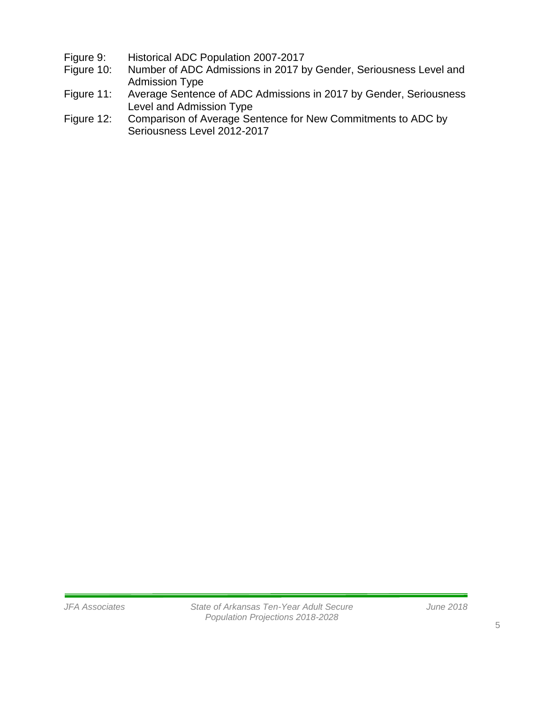- Figure 9: Historical ADC Population 2007-2017<br>Figure 10: Number of ADC Admissions in 2017 b
- Number of ADC Admissions in 2017 by Gender, Seriousness Level and Admission Type
- Figure 11: Average Sentence of ADC Admissions in 2017 by Gender, Seriousness Level and Admission Type
- Figure 12: Comparison of Average Sentence for New Commitments to ADC by Seriousness Level 2012-2017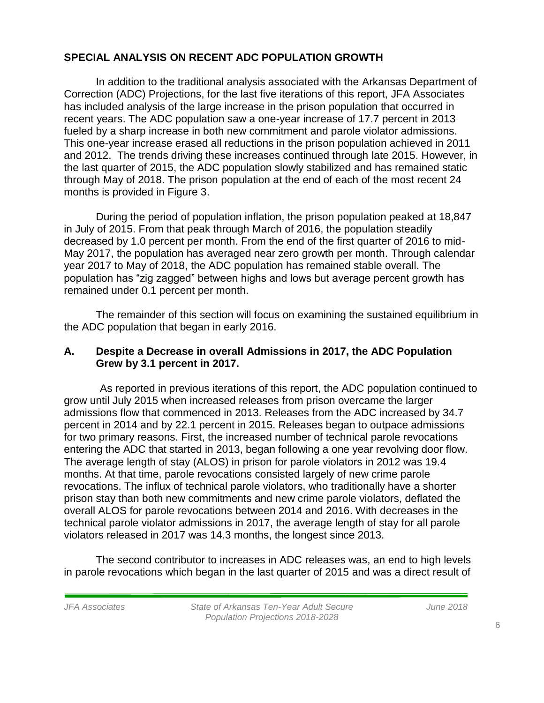## **SPECIAL ANALYSIS ON RECENT ADC POPULATION GROWTH**

In addition to the traditional analysis associated with the Arkansas Department of Correction (ADC) Projections, for the last five iterations of this report, JFA Associates has included analysis of the large increase in the prison population that occurred in recent years. The ADC population saw a one-year increase of 17.7 percent in 2013 fueled by a sharp increase in both new commitment and parole violator admissions. This one-year increase erased all reductions in the prison population achieved in 2011 and 2012. The trends driving these increases continued through late 2015. However, in the last quarter of 2015, the ADC population slowly stabilized and has remained static through May of 2018. The prison population at the end of each of the most recent 24 months is provided in Figure 3.

During the period of population inflation, the prison population peaked at 18,847 in July of 2015. From that peak through March of 2016, the population steadily decreased by 1.0 percent per month. From the end of the first quarter of 2016 to mid-May 2017, the population has averaged near zero growth per month. Through calendar year 2017 to May of 2018, the ADC population has remained stable overall. The population has "zig zagged" between highs and lows but average percent growth has remained under 0.1 percent per month.

The remainder of this section will focus on examining the sustained equilibrium in the ADC population that began in early 2016.

### **A. Despite a Decrease in overall Admissions in 2017, the ADC Population Grew by 3.1 percent in 2017.**

As reported in previous iterations of this report, the ADC population continued to grow until July 2015 when increased releases from prison overcame the larger admissions flow that commenced in 2013. Releases from the ADC increased by 34.7 percent in 2014 and by 22.1 percent in 2015. Releases began to outpace admissions for two primary reasons. First, the increased number of technical parole revocations entering the ADC that started in 2013, began following a one year revolving door flow. The average length of stay (ALOS) in prison for parole violators in 2012 was 19.4 months. At that time, parole revocations consisted largely of new crime parole revocations. The influx of technical parole violators, who traditionally have a shorter prison stay than both new commitments and new crime parole violators, deflated the overall ALOS for parole revocations between 2014 and 2016. With decreases in the technical parole violator admissions in 2017, the average length of stay for all parole violators released in 2017 was 14.3 months, the longest since 2013.

The second contributor to increases in ADC releases was, an end to high levels in parole revocations which began in the last quarter of 2015 and was a direct result of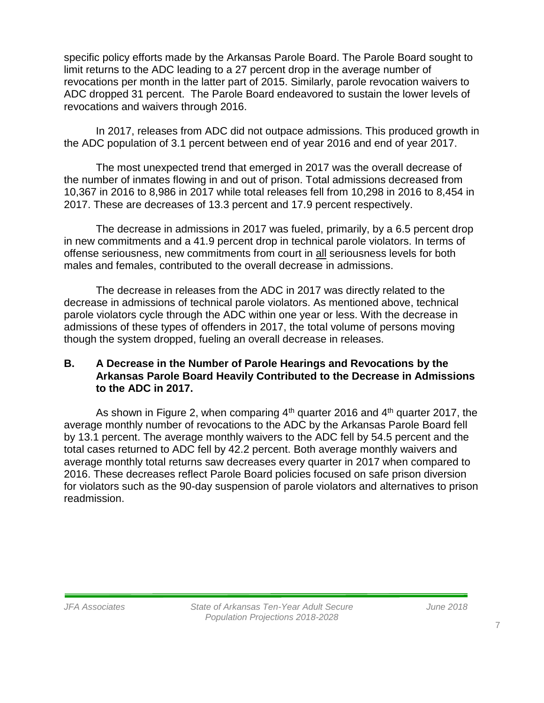specific policy efforts made by the Arkansas Parole Board. The Parole Board sought to limit returns to the ADC leading to a 27 percent drop in the average number of revocations per month in the latter part of 2015. Similarly, parole revocation waivers to ADC dropped 31 percent. The Parole Board endeavored to sustain the lower levels of revocations and waivers through 2016.

In 2017, releases from ADC did not outpace admissions. This produced growth in the ADC population of 3.1 percent between end of year 2016 and end of year 2017.

The most unexpected trend that emerged in 2017 was the overall decrease of the number of inmates flowing in and out of prison. Total admissions decreased from 10,367 in 2016 to 8,986 in 2017 while total releases fell from 10,298 in 2016 to 8,454 in 2017. These are decreases of 13.3 percent and 17.9 percent respectively.

The decrease in admissions in 2017 was fueled, primarily, by a 6.5 percent drop in new commitments and a 41.9 percent drop in technical parole violators. In terms of offense seriousness, new commitments from court in all seriousness levels for both males and females, contributed to the overall decrease in admissions.

The decrease in releases from the ADC in 2017 was directly related to the decrease in admissions of technical parole violators. As mentioned above, technical parole violators cycle through the ADC within one year or less. With the decrease in admissions of these types of offenders in 2017, the total volume of persons moving though the system dropped, fueling an overall decrease in releases.

### **B. A Decrease in the Number of Parole Hearings and Revocations by the Arkansas Parole Board Heavily Contributed to the Decrease in Admissions to the ADC in 2017.**

As shown in Figure 2, when comparing 4<sup>th</sup> quarter 2016 and 4<sup>th</sup> quarter 2017, the average monthly number of revocations to the ADC by the Arkansas Parole Board fell by 13.1 percent. The average monthly waivers to the ADC fell by 54.5 percent and the total cases returned to ADC fell by 42.2 percent. Both average monthly waivers and average monthly total returns saw decreases every quarter in 2017 when compared to 2016. These decreases reflect Parole Board policies focused on safe prison diversion for violators such as the 90-day suspension of parole violators and alternatives to prison readmission.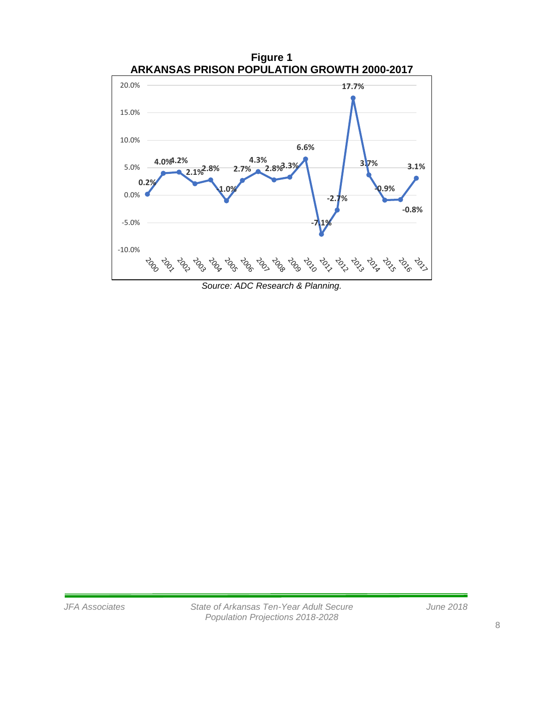

*Source: ADC Research & Planning.*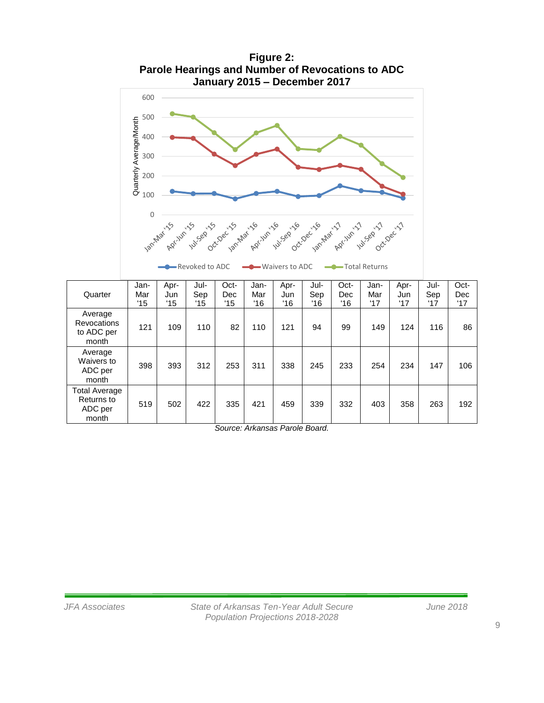

**Figure 2: Parole Hearings and Number of Revocations to ADC January 2015 – December 2017**

*Source: Arkansas Parole Board.*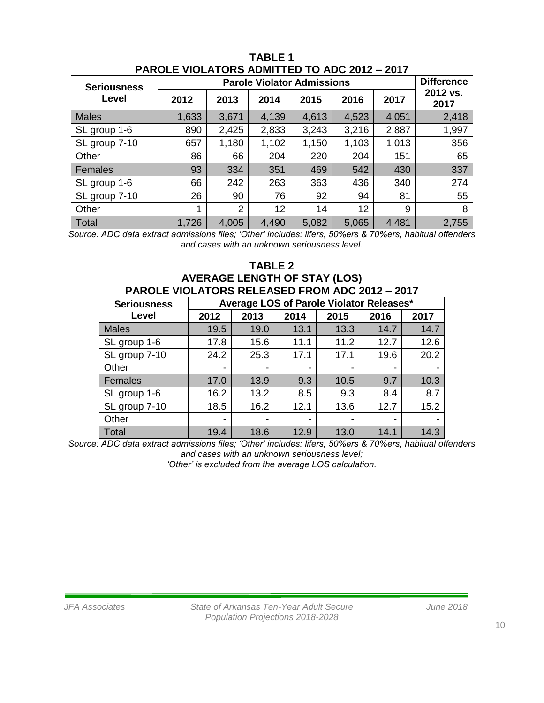| <b>Seriousness</b> | <b>Parole Violator Admissions</b> |                |       |       |       |       | <b>Difference</b> |
|--------------------|-----------------------------------|----------------|-------|-------|-------|-------|-------------------|
| Level              | 2012                              | 2013           | 2014  | 2015  | 2016  | 2017  | 2012 vs.<br>2017  |
| <b>Males</b>       | 1,633                             | 3,671          | 4,139 | 4,613 | 4,523 | 4,051 | 2,418             |
| SL group 1-6       | 890                               | 2,425          | 2,833 | 3,243 | 3,216 | 2,887 | 1,997             |
| SL group 7-10      | 657                               | 1,180          | 1,102 | 1,150 | 1,103 | 1,013 | 356               |
| Other              | 86                                | 66             | 204   | 220   | 204   | 151   | 65                |
| Females            | 93                                | 334            | 351   | 469   | 542   | 430   | 337               |
| SL group 1-6       | 66                                | 242            | 263   | 363   | 436   | 340   | 274               |
| SL group 7-10      | 26                                | 90             | 76    | 92    | 94    | 81    | 55                |
| Other              | 1                                 | $\overline{2}$ | 12    | 14    | 12    | 9     | 8                 |
| Total              | 1,726                             | 4,005          | 4,490 | 5,082 | 5,065 | 4,481 | 2,755             |

**TABLE 1 PAROLE VIOLATORS ADMITTED TO ADC 2012 – 2017**

*Source: ADC data extract admissions files; 'Other' includes: lifers, 50%ers & 70%ers, habitual offenders and cases with an unknown seriousness level.*

#### **TABLE 2 AVERAGE LENGTH OF STAY (LOS) PAROLE VIOLATORS RELEASED FROM ADC 2012 – 2017**

| Average LOS of Parole Violator Releases*<br><b>Seriousness</b> |      |      |      |                          |                          |      |
|----------------------------------------------------------------|------|------|------|--------------------------|--------------------------|------|
| Level                                                          | 2012 | 2013 | 2014 | 2015                     | 2016                     | 2017 |
| <b>Males</b>                                                   | 19.5 | 19.0 | 13.1 | 13.3                     | 14.7                     | 14.7 |
| SL group 1-6                                                   | 17.8 | 15.6 | 11.1 | 11.2                     | 12.7                     | 12.6 |
| SL group 7-10                                                  | 24.2 | 25.3 | 17.1 | 17.1                     | 19.6                     | 20.2 |
| Other                                                          | -    | -    | -    | $\overline{\phantom{0}}$ |                          |      |
| Females                                                        | 17.0 | 13.9 | 9.3  | 10.5                     | 9.7                      | 10.3 |
| SL group 1-6                                                   | 16.2 | 13.2 | 8.5  | 9.3                      | 8.4                      | 8.7  |
| SL group 7-10                                                  | 18.5 | 16.2 | 12.1 | 13.6                     | 12.7                     | 15.2 |
| Other                                                          | -    | -    | -    | $\,$                     | $\overline{\phantom{0}}$ |      |
| <b>Total</b>                                                   | 19.4 | 18.6 | 12.9 | 13.0                     | 14.1                     | 14.3 |

*Source: ADC data extract admissions files; 'Other' includes: lifers, 50%ers & 70%ers, habitual offenders and cases with an unknown seriousness level;* 

*'Other' is excluded from the average LOS calculation.*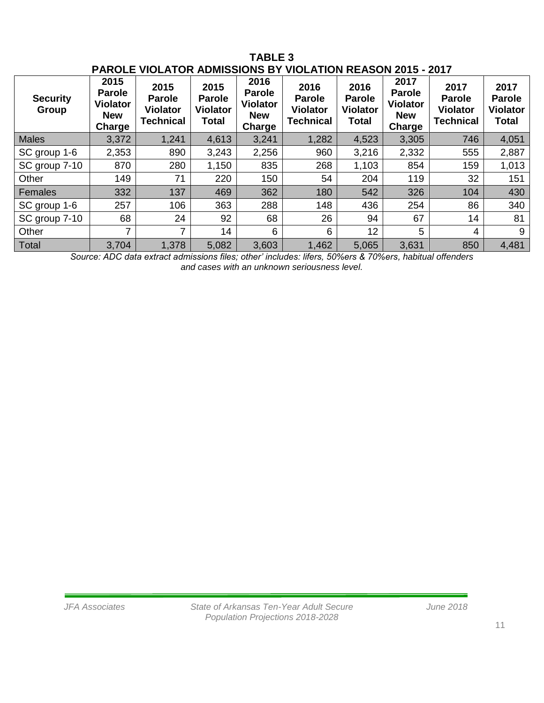| <b>PAROLE VIOLATOR ADMISSIONS BY VIOLATION REASON 2015 - 2017</b> |                                                                  |                                                              |                                                          |                                                                  |                                                              |                                                          |                                                                  |                                                              |                                                          |
|-------------------------------------------------------------------|------------------------------------------------------------------|--------------------------------------------------------------|----------------------------------------------------------|------------------------------------------------------------------|--------------------------------------------------------------|----------------------------------------------------------|------------------------------------------------------------------|--------------------------------------------------------------|----------------------------------------------------------|
| <b>Security</b><br>Group                                          | 2015<br><b>Parole</b><br><b>Violator</b><br><b>New</b><br>Charge | 2015<br><b>Parole</b><br><b>Violator</b><br><b>Technical</b> | 2015<br><b>Parole</b><br><b>Violator</b><br><b>Total</b> | 2016<br><b>Parole</b><br><b>Violator</b><br><b>New</b><br>Charge | 2016<br><b>Parole</b><br><b>Violator</b><br><b>Technical</b> | 2016<br><b>Parole</b><br><b>Violator</b><br><b>Total</b> | 2017<br><b>Parole</b><br><b>Violator</b><br><b>New</b><br>Charge | 2017<br><b>Parole</b><br><b>Violator</b><br><b>Technical</b> | 2017<br><b>Parole</b><br><b>Violator</b><br><b>Total</b> |
| <b>Males</b>                                                      | 3,372                                                            | 1,241                                                        | 4,613                                                    | 3,241                                                            | 1,282                                                        | 4,523                                                    | 3,305                                                            | 746                                                          | 4,051                                                    |
| SC group 1-6                                                      | 2,353                                                            | 890                                                          | 3,243                                                    | 2,256                                                            | 960                                                          | 3,216                                                    | 2,332                                                            | 555                                                          | 2,887                                                    |
| SC group 7-10                                                     | 870                                                              | 280                                                          | 1,150                                                    | 835                                                              | 268                                                          | 1,103                                                    | 854                                                              | 159                                                          | 1,013                                                    |
| Other                                                             | 149                                                              | 71                                                           | 220                                                      | 150                                                              | 54                                                           | 204                                                      | 119                                                              | 32                                                           | 151                                                      |
| Females                                                           | 332                                                              | 137                                                          | 469                                                      | 362                                                              | 180                                                          | 542                                                      | 326                                                              | 104                                                          | 430                                                      |
| SC group 1-6                                                      | 257                                                              | 106                                                          | 363                                                      | 288                                                              | 148                                                          | 436                                                      | 254                                                              | 86                                                           | 340                                                      |
| SC group 7-10                                                     | 68                                                               | 24                                                           | 92                                                       | 68                                                               | 26                                                           | 94                                                       | 67                                                               | 14                                                           | 81                                                       |
| Other                                                             | $\overline{7}$                                                   | 7                                                            | 14                                                       | 6                                                                | 6                                                            | 12                                                       | 5                                                                | 4                                                            | 9                                                        |
| <b>Total</b>                                                      | 3,704                                                            | 1,378                                                        | 5,082                                                    | 3,603                                                            | 1,462                                                        | 5,065                                                    | 3,631                                                            | 850                                                          | 4,481                                                    |

**TABLE 3**

*Source: ADC data extract admissions files; other' includes: lifers, 50%ers & 70%ers, habitual offenders and cases with an unknown seriousness level.*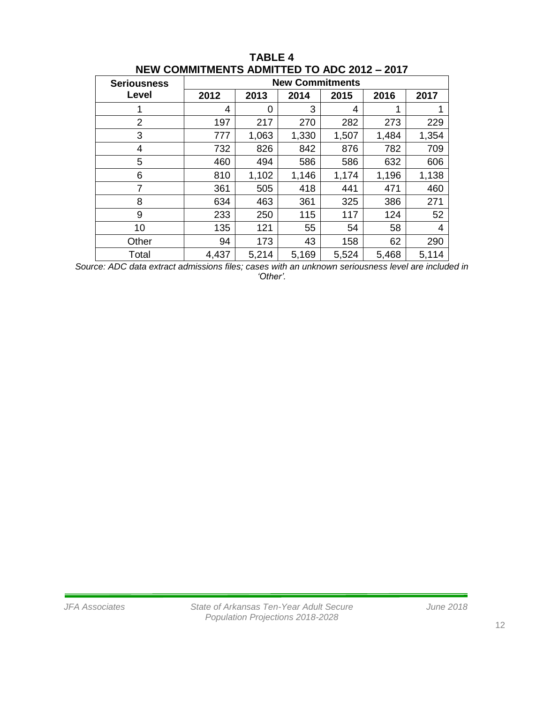| <b>Seriousness</b> | <b>New Commitments</b> |       |       |       |       |       |  |
|--------------------|------------------------|-------|-------|-------|-------|-------|--|
| Level              | 2012                   | 2013  | 2014  | 2015  | 2016  | 2017  |  |
|                    | 4                      | 0     | 3     | 4     | 1     |       |  |
| 2                  | 197                    | 217   | 270   | 282   | 273   | 229   |  |
| 3                  | 777                    | 1,063 | 1,330 | 1,507 | 1,484 | 1,354 |  |
| 4                  | 732                    | 826   | 842   | 876   | 782   | 709   |  |
| 5                  | 460                    | 494   | 586   | 586   | 632   | 606   |  |
| 6                  | 810                    | 1,102 | 1,146 | 1,174 | 1,196 | 1,138 |  |
| 7                  | 361                    | 505   | 418   | 441   | 471   | 460   |  |
| 8                  | 634                    | 463   | 361   | 325   | 386   | 271   |  |
| 9                  | 233                    | 250   | 115   | 117   | 124   | 52    |  |
| 10                 | 135                    | 121   | 55    | 54    | 58    | 4     |  |
| Other              | 94                     | 173   | 43    | 158   | 62    | 290   |  |
| Total              | 4,437                  | 5,214 | 5,169 | 5,524 | 5,468 | 5,114 |  |

#### **TABLE 4 NEW COMMITMENTS ADMITTED TO ADC 2012 – 2017**

*Source: ADC data extract admissions files; cases with an unknown seriousness level are included in 'Other'.*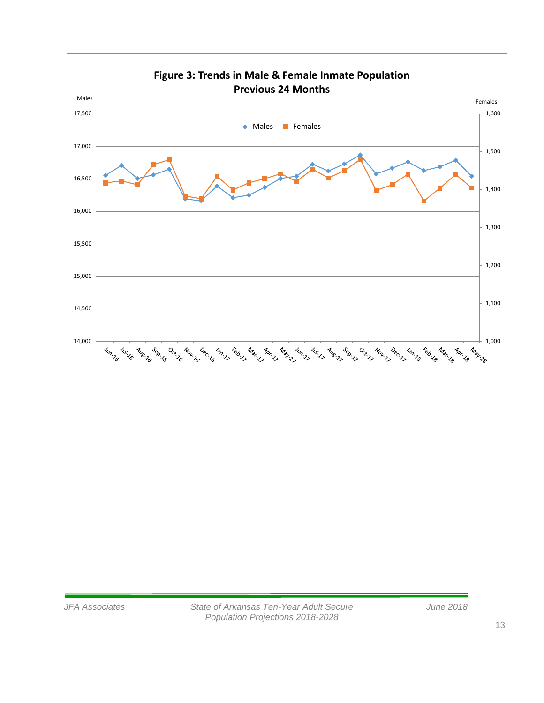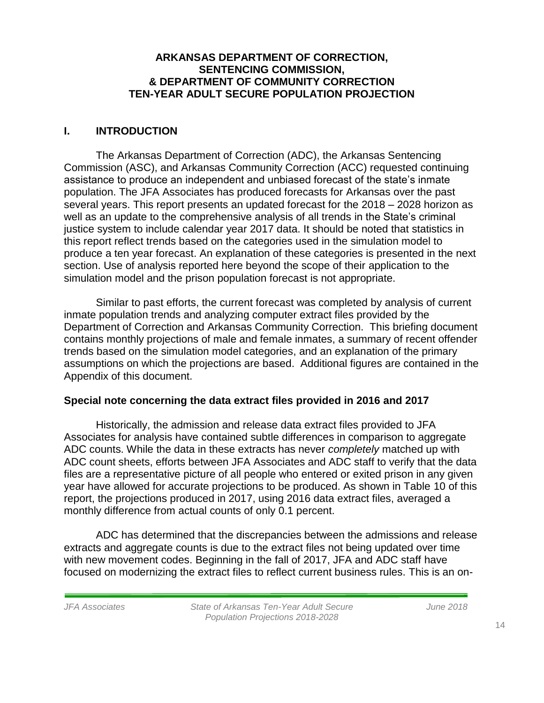#### **ARKANSAS DEPARTMENT OF CORRECTION, SENTENCING COMMISSION, & DEPARTMENT OF COMMUNITY CORRECTION TEN-YEAR ADULT SECURE POPULATION PROJECTION**

# **I. INTRODUCTION**

The Arkansas Department of Correction (ADC), the Arkansas Sentencing Commission (ASC), and Arkansas Community Correction (ACC) requested continuing assistance to produce an independent and unbiased forecast of the state's inmate population. The JFA Associates has produced forecasts for Arkansas over the past several years. This report presents an updated forecast for the 2018 – 2028 horizon as well as an update to the comprehensive analysis of all trends in the State's criminal justice system to include calendar year 2017 data. It should be noted that statistics in this report reflect trends based on the categories used in the simulation model to produce a ten year forecast. An explanation of these categories is presented in the next section. Use of analysis reported here beyond the scope of their application to the simulation model and the prison population forecast is not appropriate.

Similar to past efforts, the current forecast was completed by analysis of current inmate population trends and analyzing computer extract files provided by the Department of Correction and Arkansas Community Correction. This briefing document contains monthly projections of male and female inmates, a summary of recent offender trends based on the simulation model categories, and an explanation of the primary assumptions on which the projections are based. Additional figures are contained in the Appendix of this document.

# **Special note concerning the data extract files provided in 2016 and 2017**

Historically, the admission and release data extract files provided to JFA Associates for analysis have contained subtle differences in comparison to aggregate ADC counts. While the data in these extracts has never *completely* matched up with ADC count sheets, efforts between JFA Associates and ADC staff to verify that the data files are a representative picture of all people who entered or exited prison in any given year have allowed for accurate projections to be produced. As shown in Table 10 of this report, the projections produced in 2017, using 2016 data extract files, averaged a monthly difference from actual counts of only 0.1 percent.

ADC has determined that the discrepancies between the admissions and release extracts and aggregate counts is due to the extract files not being updated over time with new movement codes. Beginning in the fall of 2017, JFA and ADC staff have focused on modernizing the extract files to reflect current business rules. This is an on-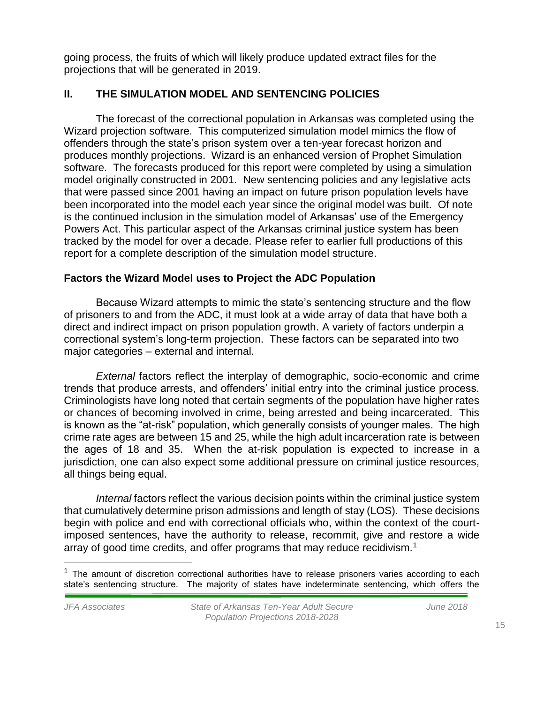going process, the fruits of which will likely produce updated extract files for the projections that will be generated in 2019.

## **II. THE SIMULATION MODEL AND SENTENCING POLICIES**

The forecast of the correctional population in Arkansas was completed using the Wizard projection software. This computerized simulation model mimics the flow of offenders through the state's prison system over a ten-year forecast horizon and produces monthly projections. Wizard is an enhanced version of Prophet Simulation software. The forecasts produced for this report were completed by using a simulation model originally constructed in 2001. New sentencing policies and any legislative acts that were passed since 2001 having an impact on future prison population levels have been incorporated into the model each year since the original model was built. Of note is the continued inclusion in the simulation model of Arkansas' use of the Emergency Powers Act. This particular aspect of the Arkansas criminal justice system has been tracked by the model for over a decade. Please refer to earlier full productions of this report for a complete description of the simulation model structure.

#### **Factors the Wizard Model uses to Project the ADC Population**

Because Wizard attempts to mimic the state's sentencing structure and the flow of prisoners to and from the ADC, it must look at a wide array of data that have both a direct and indirect impact on prison population growth. A variety of factors underpin a correctional system's long-term projection. These factors can be separated into two major categories – external and internal.

*External* factors reflect the interplay of demographic, socio-economic and crime trends that produce arrests, and offenders' initial entry into the criminal justice process. Criminologists have long noted that certain segments of the population have higher rates or chances of becoming involved in crime, being arrested and being incarcerated. This is known as the "at-risk" population, which generally consists of younger males. The high crime rate ages are between 15 and 25, while the high adult incarceration rate is between the ages of 18 and 35. When the at-risk population is expected to increase in a jurisdiction, one can also expect some additional pressure on criminal justice resources, all things being equal.

*Internal* factors reflect the various decision points within the criminal justice system that cumulatively determine prison admissions and length of stay (LOS). These decisions begin with police and end with correctional officials who, within the context of the courtimposed sentences, have the authority to release, recommit, give and restore a wide array of good time credits, and offer programs that may reduce recidivism.<sup>1</sup>

 $\overline{a}$ 

 $<sup>1</sup>$  The amount of discretion correctional authorities have to release prisoners varies according to each</sup> state's sentencing structure. The majority of states have indeterminate sentencing, which offers the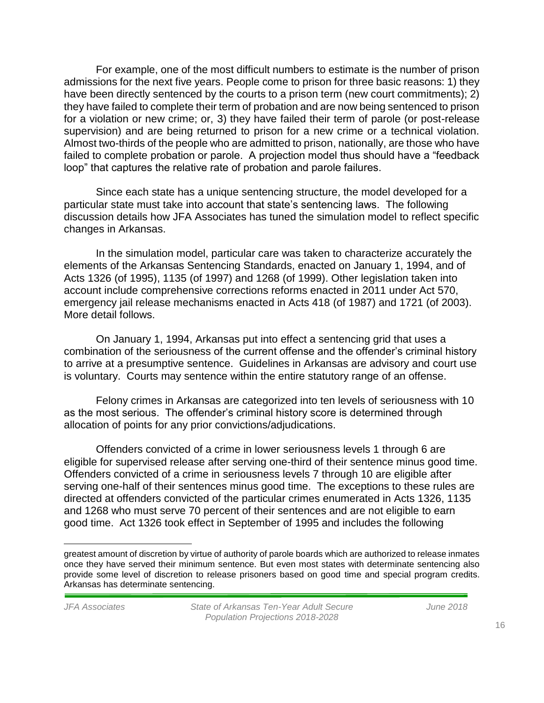For example, one of the most difficult numbers to estimate is the number of prison admissions for the next five years. People come to prison for three basic reasons: 1) they have been directly sentenced by the courts to a prison term (new court commitments); 2) they have failed to complete their term of probation and are now being sentenced to prison for a violation or new crime; or, 3) they have failed their term of parole (or post-release supervision) and are being returned to prison for a new crime or a technical violation. Almost two-thirds of the people who are admitted to prison, nationally, are those who have failed to complete probation or parole. A projection model thus should have a "feedback loop" that captures the relative rate of probation and parole failures.

Since each state has a unique sentencing structure, the model developed for a particular state must take into account that state's sentencing laws. The following discussion details how JFA Associates has tuned the simulation model to reflect specific changes in Arkansas.

In the simulation model, particular care was taken to characterize accurately the elements of the Arkansas Sentencing Standards, enacted on January 1, 1994, and of Acts 1326 (of 1995), 1135 (of 1997) and 1268 (of 1999). Other legislation taken into account include comprehensive corrections reforms enacted in 2011 under Act 570, emergency jail release mechanisms enacted in Acts 418 (of 1987) and 1721 (of 2003). More detail follows.

On January 1, 1994, Arkansas put into effect a sentencing grid that uses a combination of the seriousness of the current offense and the offender's criminal history to arrive at a presumptive sentence. Guidelines in Arkansas are advisory and court use is voluntary. Courts may sentence within the entire statutory range of an offense.

Felony crimes in Arkansas are categorized into ten levels of seriousness with 10 as the most serious. The offender's criminal history score is determined through allocation of points for any prior convictions/adjudications.

Offenders convicted of a crime in lower seriousness levels 1 through 6 are eligible for supervised release after serving one-third of their sentence minus good time. Offenders convicted of a crime in seriousness levels 7 through 10 are eligible after serving one-half of their sentences minus good time. The exceptions to these rules are directed at offenders convicted of the particular crimes enumerated in Acts 1326, 1135 and 1268 who must serve 70 percent of their sentences and are not eligible to earn good time. Act 1326 took effect in September of 1995 and includes the following

 $\overline{a}$ 

greatest amount of discretion by virtue of authority of parole boards which are authorized to release inmates once they have served their minimum sentence. But even most states with determinate sentencing also provide some level of discretion to release prisoners based on good time and special program credits. Arkansas has determinate sentencing.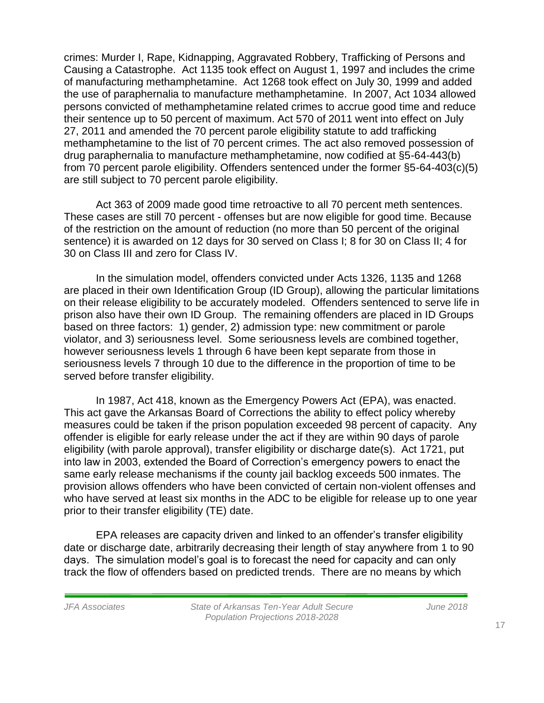crimes: Murder I, Rape, Kidnapping, Aggravated Robbery, Trafficking of Persons and Causing a Catastrophe. Act 1135 took effect on August 1, 1997 and includes the crime of manufacturing methamphetamine. Act 1268 took effect on July 30, 1999 and added the use of paraphernalia to manufacture methamphetamine. In 2007, Act 1034 allowed persons convicted of methamphetamine related crimes to accrue good time and reduce their sentence up to 50 percent of maximum. Act 570 of 2011 went into effect on July 27, 2011 and amended the 70 percent parole eligibility statute to add trafficking methamphetamine to the list of 70 percent crimes. The act also removed possession of drug paraphernalia to manufacture methamphetamine, now codified at §5-64-443(b) from 70 percent parole eligibility. Offenders sentenced under the former §5-64-403(c)(5) are still subject to 70 percent parole eligibility.

Act 363 of 2009 made good time retroactive to all 70 percent meth sentences. These cases are still 70 percent - offenses but are now eligible for good time. Because of the restriction on the amount of reduction (no more than 50 percent of the original sentence) it is awarded on 12 days for 30 served on Class I; 8 for 30 on Class II; 4 for 30 on Class III and zero for Class IV.

In the simulation model, offenders convicted under Acts 1326, 1135 and 1268 are placed in their own Identification Group (ID Group), allowing the particular limitations on their release eligibility to be accurately modeled. Offenders sentenced to serve life in prison also have their own ID Group. The remaining offenders are placed in ID Groups based on three factors: 1) gender, 2) admission type: new commitment or parole violator, and 3) seriousness level. Some seriousness levels are combined together, however seriousness levels 1 through 6 have been kept separate from those in seriousness levels 7 through 10 due to the difference in the proportion of time to be served before transfer eligibility.

In 1987, Act 418, known as the Emergency Powers Act (EPA), was enacted. This act gave the Arkansas Board of Corrections the ability to effect policy whereby measures could be taken if the prison population exceeded 98 percent of capacity. Any offender is eligible for early release under the act if they are within 90 days of parole eligibility (with parole approval), transfer eligibility or discharge date(s). Act 1721, put into law in 2003, extended the Board of Correction's emergency powers to enact the same early release mechanisms if the county jail backlog exceeds 500 inmates. The provision allows offenders who have been convicted of certain non-violent offenses and who have served at least six months in the ADC to be eligible for release up to one year prior to their transfer eligibility (TE) date.

EPA releases are capacity driven and linked to an offender's transfer eligibility date or discharge date, arbitrarily decreasing their length of stay anywhere from 1 to 90 days. The simulation model's goal is to forecast the need for capacity and can only track the flow of offenders based on predicted trends. There are no means by which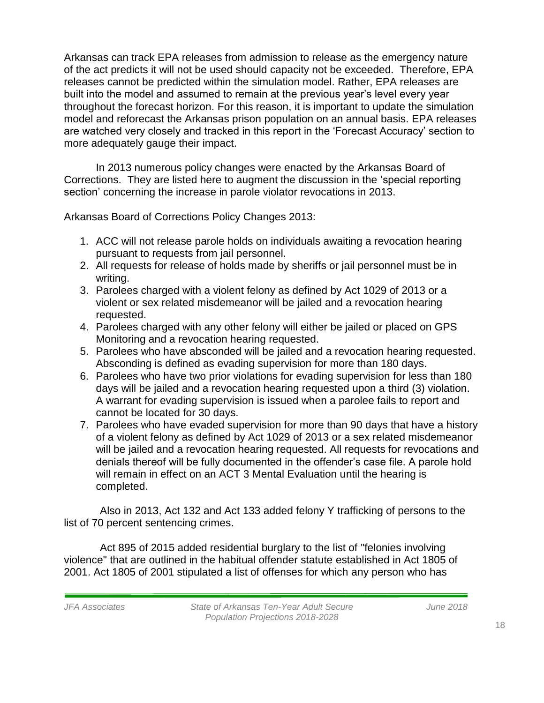Arkansas can track EPA releases from admission to release as the emergency nature of the act predicts it will not be used should capacity not be exceeded. Therefore, EPA releases cannot be predicted within the simulation model. Rather, EPA releases are built into the model and assumed to remain at the previous year's level every year throughout the forecast horizon. For this reason, it is important to update the simulation model and reforecast the Arkansas prison population on an annual basis. EPA releases are watched very closely and tracked in this report in the 'Forecast Accuracy' section to more adequately gauge their impact.

In 2013 numerous policy changes were enacted by the Arkansas Board of Corrections. They are listed here to augment the discussion in the 'special reporting section' concerning the increase in parole violator revocations in 2013.

Arkansas Board of Corrections Policy Changes 2013:

- 1. ACC will not release parole holds on individuals awaiting a revocation hearing pursuant to requests from jail personnel.
- 2. All requests for release of holds made by sheriffs or jail personnel must be in writing.
- 3. Parolees charged with a violent felony as defined by Act 1029 of 2013 or a violent or sex related misdemeanor will be jailed and a revocation hearing requested.
- 4. Parolees charged with any other felony will either be jailed or placed on GPS Monitoring and a revocation hearing requested.
- 5. Parolees who have absconded will be jailed and a revocation hearing requested. Absconding is defined as evading supervision for more than 180 days.
- 6. Parolees who have two prior violations for evading supervision for less than 180 days will be jailed and a revocation hearing requested upon a third (3) violation. A warrant for evading supervision is issued when a parolee fails to report and cannot be located for 30 days.
- 7. Parolees who have evaded supervision for more than 90 days that have a history of a violent felony as defined by Act 1029 of 2013 or a sex related misdemeanor will be jailed and a revocation hearing requested. All requests for revocations and denials thereof will be fully documented in the offender's case file. A parole hold will remain in effect on an ACT 3 Mental Evaluation until the hearing is completed.

Also in 2013, Act 132 and Act 133 added felony Y trafficking of persons to the list of 70 percent sentencing crimes.

Act 895 of 2015 added residential burglary to the list of "felonies involving violence" that are outlined in the habitual offender statute established in Act 1805 of 2001. Act 1805 of 2001 stipulated a list of offenses for which any person who has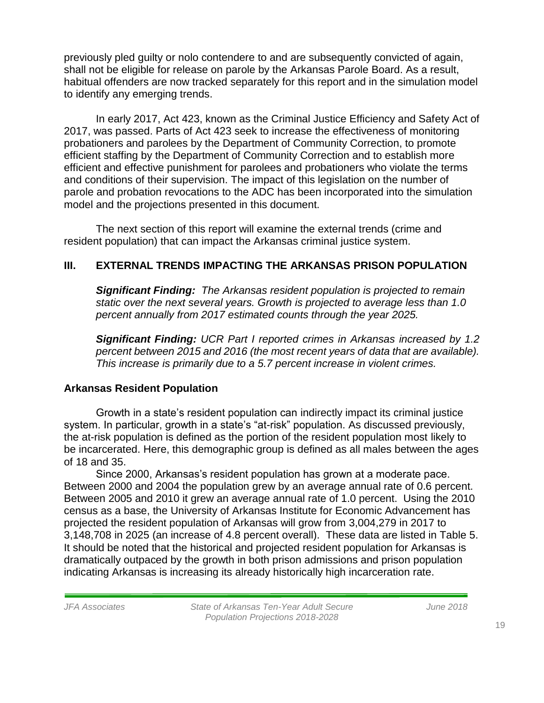previously pled guilty or nolo contendere to and are subsequently convicted of again, shall not be eligible for release on parole by the Arkansas Parole Board. As a result, habitual offenders are now tracked separately for this report and in the simulation model to identify any emerging trends.

In early 2017, Act 423, known as the Criminal Justice Efficiency and Safety Act of 2017, was passed. Parts of Act 423 seek to increase the effectiveness of monitoring probationers and parolees by the Department of Community Correction, to promote efficient staffing by the Department of Community Correction and to establish more efficient and effective punishment for parolees and probationers who violate the terms and conditions of their supervision. The impact of this legislation on the number of parole and probation revocations to the ADC has been incorporated into the simulation model and the projections presented in this document.

The next section of this report will examine the external trends (crime and resident population) that can impact the Arkansas criminal justice system.

# **III. EXTERNAL TRENDS IMPACTING THE ARKANSAS PRISON POPULATION**

*Significant Finding: The Arkansas resident population is projected to remain static over the next several years. Growth is projected to average less than 1.0 percent annually from 2017 estimated counts through the year 2025.* 

*Significant Finding: UCR Part I reported crimes in Arkansas increased by 1.2 percent between 2015 and 2016 (the most recent years of data that are available). This increase is primarily due to a 5.7 percent increase in violent crimes.*

# **Arkansas Resident Population**

Growth in a state's resident population can indirectly impact its criminal justice system. In particular, growth in a state's "at-risk" population. As discussed previously, the at-risk population is defined as the portion of the resident population most likely to be incarcerated. Here, this demographic group is defined as all males between the ages of 18 and 35.

Since 2000, Arkansas's resident population has grown at a moderate pace. Between 2000 and 2004 the population grew by an average annual rate of 0.6 percent. Between 2005 and 2010 it grew an average annual rate of 1.0 percent. Using the 2010 census as a base, the University of Arkansas Institute for Economic Advancement has projected the resident population of Arkansas will grow from 3,004,279 in 2017 to 3,148,708 in 2025 (an increase of 4.8 percent overall). These data are listed in Table 5. It should be noted that the historical and projected resident population for Arkansas is dramatically outpaced by the growth in both prison admissions and prison population indicating Arkansas is increasing its already historically high incarceration rate.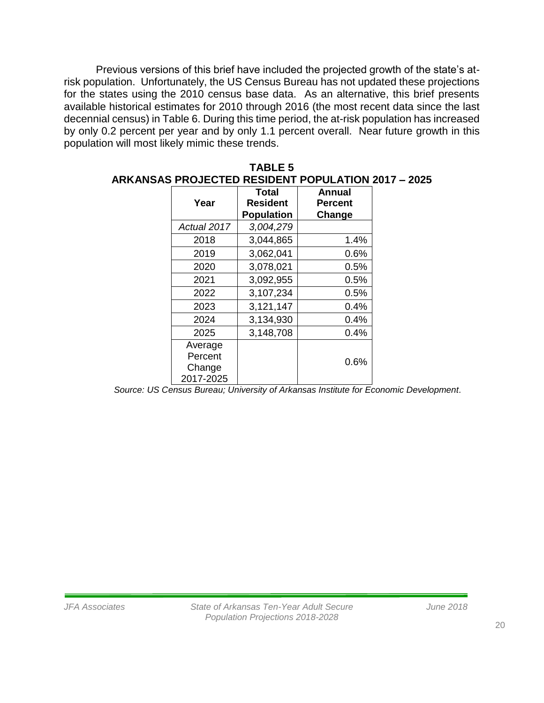Previous versions of this brief have included the projected growth of the state's atrisk population. Unfortunately, the US Census Bureau has not updated these projections for the states using the 2010 census base data. As an alternative, this brief presents available historical estimates for 2010 through 2016 (the most recent data since the last decennial census) in Table 6. During this time period, the at-risk population has increased by only 0.2 percent per year and by only 1.1 percent overall. Near future growth in this population will most likely mimic these trends.

**TABLE 5**

|                                           |                                                      | <b>ARKANSAS PROJECTED RESIDENT POPULATION 2017 - 2025</b> |  |
|-------------------------------------------|------------------------------------------------------|-----------------------------------------------------------|--|
| Year                                      | <b>Total</b><br><b>Resident</b><br><b>Population</b> | Annual<br>Percent<br>Change                               |  |
| Actual 2017                               | 3,004,279                                            |                                                           |  |
| 2018                                      | 3,044,865                                            | 1.4%                                                      |  |
| 2019                                      | 3,062,041                                            | 0.6%                                                      |  |
| 2020                                      | 3,078,021                                            | 0.5%                                                      |  |
| 2021                                      | 3,092,955                                            | 0.5%                                                      |  |
| 2022                                      | 3,107,234                                            | 0.5%                                                      |  |
| 2023                                      | 3,121,147                                            | 0.4%                                                      |  |
| 2024                                      | 3,134,930                                            | 0.4%                                                      |  |
| 2025                                      | 3,148,708                                            | 0.4%                                                      |  |
| Average<br>Percent<br>Change<br>2017-2025 |                                                      | 0.6%                                                      |  |

| Source: US Census Bureau; University of Arkansas Institute for Economic Development. |
|--------------------------------------------------------------------------------------|
|--------------------------------------------------------------------------------------|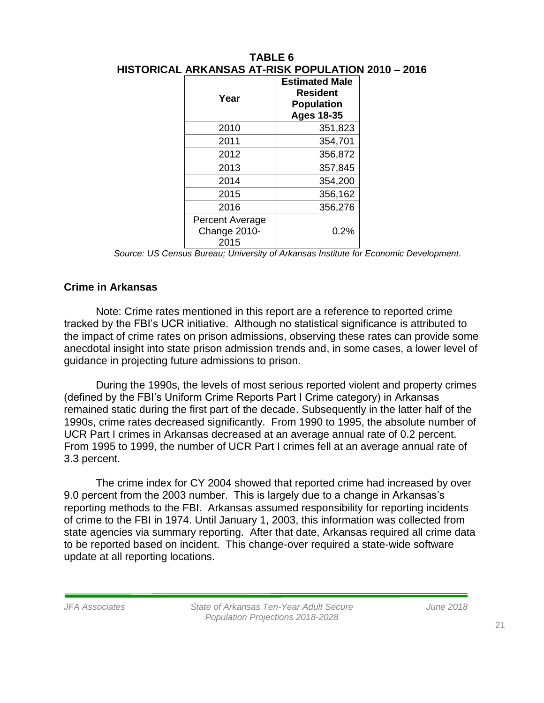| Year                                    | <b>Estimated Male</b><br><b>Resident</b><br><b>Population</b><br><b>Ages 18-35</b> |
|-----------------------------------------|------------------------------------------------------------------------------------|
| 2010                                    | 351,823                                                                            |
| 2011                                    | 354,701                                                                            |
| 2012                                    | 356,872                                                                            |
| 2013                                    | 357,845                                                                            |
| 2014                                    | 354,200                                                                            |
| 2015                                    | 356,162                                                                            |
| 2016                                    | 356,276                                                                            |
| Percent Average<br>Change 2010-<br>2015 | 0.2%                                                                               |

# **TABLE 6 HISTORICAL ARKANSAS AT-RISK POPULATION 2010 – 2016**

*Source: US Census Bureau; University of Arkansas Institute for Economic Development.*

# **Crime in Arkansas**

Note: Crime rates mentioned in this report are a reference to reported crime tracked by the FBI's UCR initiative. Although no statistical significance is attributed to the impact of crime rates on prison admissions, observing these rates can provide some anecdotal insight into state prison admission trends and, in some cases, a lower level of guidance in projecting future admissions to prison.

During the 1990s, the levels of most serious reported violent and property crimes (defined by the FBI's Uniform Crime Reports Part I Crime category) in Arkansas remained static during the first part of the decade. Subsequently in the latter half of the 1990s, crime rates decreased significantly. From 1990 to 1995, the absolute number of UCR Part I crimes in Arkansas decreased at an average annual rate of 0.2 percent. From 1995 to 1999, the number of UCR Part I crimes fell at an average annual rate of 3.3 percent.

The crime index for CY 2004 showed that reported crime had increased by over 9.0 percent from the 2003 number. This is largely due to a change in Arkansas's reporting methods to the FBI. Arkansas assumed responsibility for reporting incidents of crime to the FBI in 1974. Until January 1, 2003, this information was collected from state agencies via summary reporting. After that date, Arkansas required all crime data to be reported based on incident. This change-over required a state-wide software update at all reporting locations.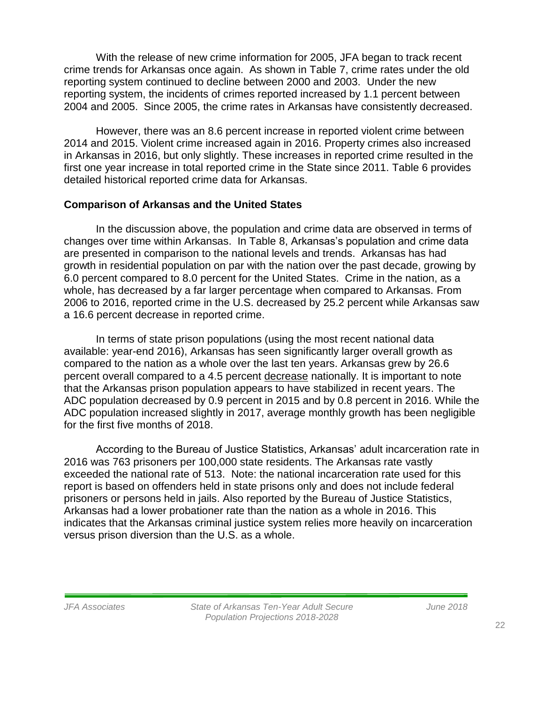With the release of new crime information for 2005, JFA began to track recent crime trends for Arkansas once again. As shown in Table 7, crime rates under the old reporting system continued to decline between 2000 and 2003. Under the new reporting system, the incidents of crimes reported increased by 1.1 percent between 2004 and 2005. Since 2005, the crime rates in Arkansas have consistently decreased.

However, there was an 8.6 percent increase in reported violent crime between 2014 and 2015. Violent crime increased again in 2016. Property crimes also increased in Arkansas in 2016, but only slightly. These increases in reported crime resulted in the first one year increase in total reported crime in the State since 2011. Table 6 provides detailed historical reported crime data for Arkansas.

#### **Comparison of Arkansas and the United States**

In the discussion above, the population and crime data are observed in terms of changes over time within Arkansas. In Table 8, Arkansas's population and crime data are presented in comparison to the national levels and trends. Arkansas has had growth in residential population on par with the nation over the past decade, growing by 6.0 percent compared to 8.0 percent for the United States. Crime in the nation, as a whole, has decreased by a far larger percentage when compared to Arkansas. From 2006 to 2016, reported crime in the U.S. decreased by 25.2 percent while Arkansas saw a 16.6 percent decrease in reported crime.

In terms of state prison populations (using the most recent national data available: year-end 2016), Arkansas has seen significantly larger overall growth as compared to the nation as a whole over the last ten years. Arkansas grew by 26.6 percent overall compared to a 4.5 percent decrease nationally. It is important to note that the Arkansas prison population appears to have stabilized in recent years. The ADC population decreased by 0.9 percent in 2015 and by 0.8 percent in 2016. While the ADC population increased slightly in 2017, average monthly growth has been negligible for the first five months of 2018.

According to the Bureau of Justice Statistics, Arkansas' adult incarceration rate in 2016 was 763 prisoners per 100,000 state residents. The Arkansas rate vastly exceeded the national rate of 513. Note: the national incarceration rate used for this report is based on offenders held in state prisons only and does not include federal prisoners or persons held in jails. Also reported by the Bureau of Justice Statistics, Arkansas had a lower probationer rate than the nation as a whole in 2016. This indicates that the Arkansas criminal justice system relies more heavily on incarceration versus prison diversion than the U.S. as a whole.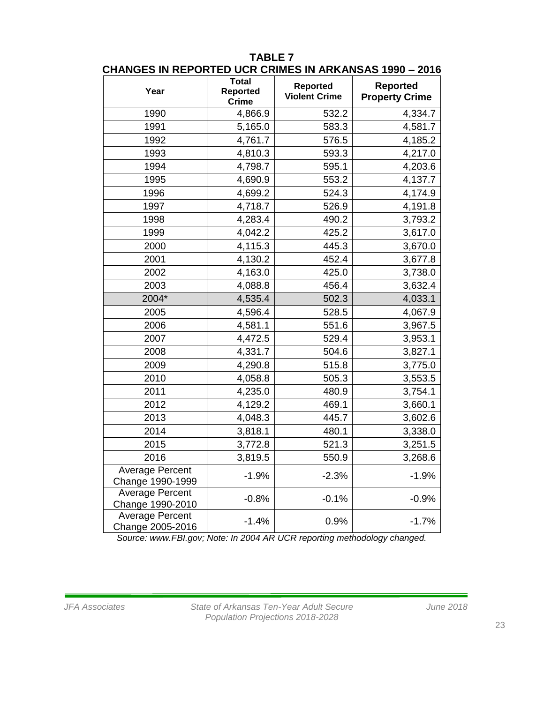| Year                                       | <b>Total</b><br><b>Reported</b> | Reported             | Reported              |
|--------------------------------------------|---------------------------------|----------------------|-----------------------|
|                                            | <b>Crime</b>                    | <b>Violent Crime</b> | <b>Property Crime</b> |
| 1990                                       | 4,866.9                         | 532.2                | 4,334.7               |
| 1991                                       | 5,165.0                         | 583.3                | 4,581.7               |
| 1992                                       | 4,761.7                         | 576.5                | 4,185.2               |
| 1993                                       | 4,810.3                         | 593.3                | 4,217.0               |
| 1994                                       | 4,798.7                         | 595.1                | 4,203.6               |
| 1995                                       | 4,690.9                         | 553.2                | 4,137.7               |
| 1996                                       | 4,699.2                         | 524.3                | 4,174.9               |
| 1997                                       | 4,718.7                         | 526.9                | 4,191.8               |
| 1998                                       | 4,283.4                         | 490.2                | 3,793.2               |
| 1999                                       | 4,042.2                         | 425.2                | 3,617.0               |
| 2000                                       | 4,115.3                         | 445.3                | 3,670.0               |
| 2001                                       | 4,130.2                         | 452.4                | 3,677.8               |
| 2002                                       | 4,163.0                         | 425.0                | 3,738.0               |
| 2003                                       | 4,088.8                         | 456.4                | 3,632.4               |
| 2004*                                      | 4,535.4                         | 502.3                | 4,033.1               |
| 2005                                       | 4,596.4                         | 528.5                | 4,067.9               |
| 2006                                       | 4,581.1                         | 551.6                | 3,967.5               |
| 2007                                       | 4,472.5                         | 529.4                | 3,953.1               |
| 2008                                       | 4,331.7                         | 504.6                | 3,827.1               |
| 2009                                       | 4,290.8                         | 515.8                | 3,775.0               |
| 2010                                       | 4,058.8                         | 505.3                | 3,553.5               |
| 2011                                       | 4,235.0                         | 480.9                | 3,754.1               |
| 2012                                       | 4,129.2                         | 469.1                | 3,660.1               |
| 2013                                       | 4,048.3                         | 445.7                | 3,602.6               |
| 2014                                       | 3,818.1                         | 480.1                | 3,338.0               |
| 2015                                       | 3,772.8                         | 521.3                | 3,251.5               |
| 2016                                       | 3,819.5                         | 550.9                | 3,268.6               |
| Average Percent<br>Change 1990-1999        | $-1.9%$                         | $-2.3%$              | $-1.9%$               |
| <b>Average Percent</b><br>Change 1990-2010 | $-0.8%$                         | $-0.1%$              | $-0.9%$               |
| Average Percent<br>Change 2005-2016        | $-1.4%$                         | 0.9%                 | $-1.7%$               |

#### **TABLE 7 CHANGES IN REPORTED UCR CRIMES IN ARKANSAS 1990 – 2016**

*Source: www.FBI.gov; Note: In 2004 AR UCR reporting methodology changed.*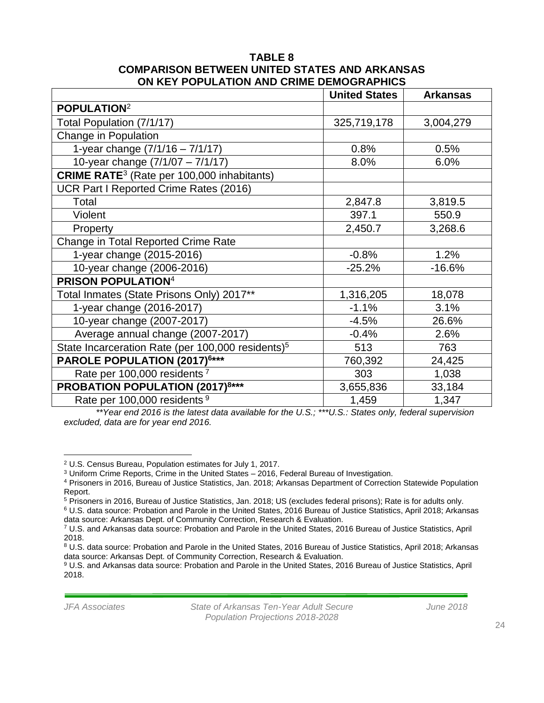#### **TABLE 8 COMPARISON BETWEEN UNITED STATES AND ARKANSAS ON KEY POPULATION AND CRIME DEMOGRAPHICS**

|                                                               | <b>United States</b> | <b>Arkansas</b> |
|---------------------------------------------------------------|----------------------|-----------------|
| POPULATION <sup>2</sup>                                       |                      |                 |
| Total Population (7/1/17)                                     | 325,719,178          | 3,004,279       |
| Change in Population                                          |                      |                 |
| 1-year change $(7/1/16 - 7/1/17)$                             | 0.8%                 | 0.5%            |
| 10-year change (7/1/07 - 7/1/17)                              | 8.0%                 | 6.0%            |
| <b>CRIME RATE</b> <sup>3</sup> (Rate per 100,000 inhabitants) |                      |                 |
| UCR Part I Reported Crime Rates (2016)                        |                      |                 |
| Total                                                         | 2,847.8              | 3,819.5         |
| Violent                                                       | 397.1                | 550.9           |
| Property                                                      | 2,450.7              | 3,268.6         |
| Change in Total Reported Crime Rate                           |                      |                 |
| 1-year change (2015-2016)                                     | $-0.8%$              | 1.2%            |
| 10-year change (2006-2016)                                    | $-25.2%$             | $-16.6%$        |
| <b>PRISON POPULATION4</b>                                     |                      |                 |
| Total Inmates (State Prisons Only) 2017**                     | 1,316,205            | 18,078          |
| 1-year change (2016-2017)                                     | $-1.1%$              | 3.1%            |
| 10-year change (2007-2017)                                    | $-4.5%$              | 26.6%           |
| Average annual change (2007-2017)                             | $-0.4%$              | 2.6%            |
| State Incarceration Rate (per 100,000 residents) <sup>5</sup> | 513                  | 763             |
| PAROLE POPULATION (2017) <sup>6***</sup>                      | 760,392              | 24,425          |
| Rate per 100,000 residents <sup>7</sup>                       | 303                  | 1,038           |
| <b>PROBATION POPULATION (2017)8***</b>                        | 3,655,836            | 33,184          |
| Rate per 100,000 residents <sup>9</sup>                       | 1,459                | 1,347           |

*\*\*Year end 2016 is the latest data available for the U.S.; \*\*\*U.S.: States only, federal supervision excluded, data are for year end 2016.*

 $\overline{a}$ <sup>2</sup> U.S. Census Bureau, Population estimates for July 1, 2017.

<sup>3</sup> Uniform Crime Reports, Crime in the United States – 2016, Federal Bureau of Investigation.

<sup>4</sup> Prisoners in 2016, Bureau of Justice Statistics, Jan. 2018; Arkansas Department of Correction Statewide Population Report.

<sup>5</sup> Prisoners in 2016, Bureau of Justice Statistics, Jan. 2018; US (excludes federal prisons); Rate is for adults only.

<sup>6</sup> U.S. data source: Probation and Parole in the United States, 2016 Bureau of Justice Statistics, April 2018; Arkansas data source: Arkansas Dept. of Community Correction, Research & Evaluation.

<sup>7</sup> U.S. and Arkansas data source: Probation and Parole in the United States, 2016 Bureau of Justice Statistics, April 2018.

<sup>8</sup> U.S. data source: Probation and Parole in the United States, 2016 Bureau of Justice Statistics, April 2018; Arkansas data source: Arkansas Dept. of Community Correction, Research & Evaluation.

<sup>9</sup> U.S. and Arkansas data source: Probation and Parole in the United States, 2016 Bureau of Justice Statistics, April 2018.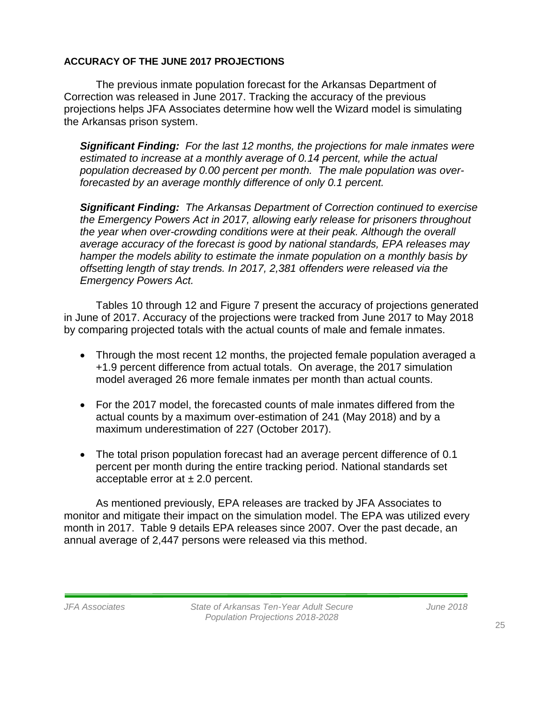#### **ACCURACY OF THE JUNE 2017 PROJECTIONS**

The previous inmate population forecast for the Arkansas Department of Correction was released in June 2017. Tracking the accuracy of the previous projections helps JFA Associates determine how well the Wizard model is simulating the Arkansas prison system.

*Significant Finding: For the last 12 months, the projections for male inmates were estimated to increase at a monthly average of 0.14 percent, while the actual population decreased by 0.00 percent per month. The male population was overforecasted by an average monthly difference of only 0.1 percent.* 

*Significant Finding: The Arkansas Department of Correction continued to exercise the Emergency Powers Act in 2017, allowing early release for prisoners throughout the year when over-crowding conditions were at their peak. Although the overall average accuracy of the forecast is good by national standards, EPA releases may hamper the models ability to estimate the inmate population on a monthly basis by offsetting length of stay trends. In 2017, 2,381 offenders were released via the Emergency Powers Act.* 

Tables 10 through 12 and Figure 7 present the accuracy of projections generated in June of 2017. Accuracy of the projections were tracked from June 2017 to May 2018 by comparing projected totals with the actual counts of male and female inmates.

- Through the most recent 12 months, the projected female population averaged a +1.9 percent difference from actual totals. On average, the 2017 simulation model averaged 26 more female inmates per month than actual counts.
- For the 2017 model, the forecasted counts of male inmates differed from the actual counts by a maximum over-estimation of 241 (May 2018) and by a maximum underestimation of 227 (October 2017).
- The total prison population forecast had an average percent difference of 0.1 percent per month during the entire tracking period. National standards set acceptable error at  $\pm 2.0$  percent.

As mentioned previously, EPA releases are tracked by JFA Associates to monitor and mitigate their impact on the simulation model. The EPA was utilized every month in 2017. Table 9 details EPA releases since 2007. Over the past decade, an annual average of 2,447 persons were released via this method.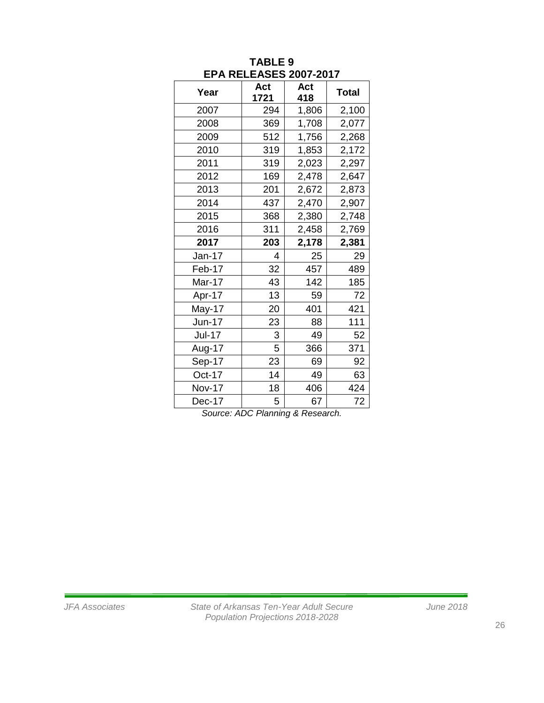| Year          | Act<br>1721 | Act<br>418 | <b>Total</b> |
|---------------|-------------|------------|--------------|
| 2007          | 294         | 1,806      | 2,100        |
| 2008          | 369         | 1,708      | 2,077        |
| 2009          | 512         | 1,756      | 2,268        |
| 2010          | 319         | 1,853      | 2,172        |
| 2011          | 319         | 2,023      | 2,297        |
| 2012          | 169         | 2,478      | 2,647        |
| 2013          | 201         | 2,672      | 2,873        |
| 2014          | 437         | 2,470      | 2,907        |
| 2015          | 368         | 2,380      | 2,748        |
| 2016          | 311         | 2,458      | 2,769        |
| 2017          | 203         | 2,178      | 2,381        |
| Jan-17        | 4           | 25         | 29           |
| Feb-17        | 32          | 457        | 489          |
| Mar-17        | 43          | 142        | 185          |
| Apr-17        | 13          | 59         | 72           |
| May-17        | 20          | 401        | 421          |
| Jun-17        | 23          | 88         | 111          |
| <b>Jul-17</b> | 3           | 49         | 52           |
| Aug-17        | 5           | 366        | 371          |
| Sep-17        | 23          | 69         | 92           |
| Oct-17        | 14          | 49         | 63           |
| Nov-17        | 18          | 406        | 424          |
| Dec-17        | 5           | 67         | 72           |

#### **TABLE 9 EPA RELEASES 2007-2017**

*Source: ADC Planning & Research.*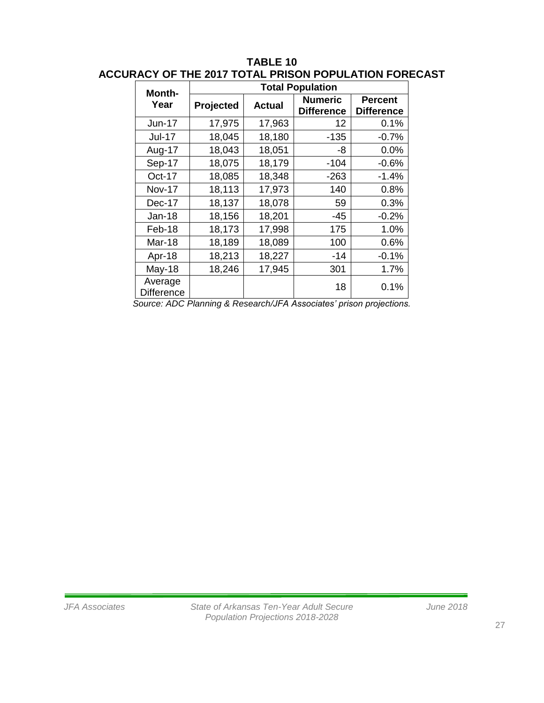| Month-                       | <b>Total Population</b> |               |                                                                         |                                     |  |  |
|------------------------------|-------------------------|---------------|-------------------------------------------------------------------------|-------------------------------------|--|--|
| Year                         | Projected               | <b>Actual</b> | <b>Numeric</b><br><b>Difference</b>                                     | <b>Percent</b><br><b>Difference</b> |  |  |
| <b>Jun-17</b>                | 17,975                  | 17,963        | 12                                                                      | 0.1%                                |  |  |
| <b>Jul-17</b>                | 18,045                  | 18,180        | $-135$                                                                  | $-0.7%$                             |  |  |
| Aug-17                       | 18,043                  | 18,051        | -8                                                                      | 0.0%                                |  |  |
| Sep-17                       | 18,075                  | 18,179        | $-104$                                                                  | $-0.6%$                             |  |  |
| Oct-17                       | 18,085                  | 18,348        | $-263$                                                                  | $-1.4%$                             |  |  |
| <b>Nov-17</b>                | 18,113                  | 17,973        | 140                                                                     | 0.8%                                |  |  |
| Dec-17                       | 18,137                  | 18,078        | 59                                                                      | 0.3%                                |  |  |
| Jan-18                       | 18,156                  | 18,201        | -45                                                                     | $-0.2%$                             |  |  |
| Feb-18                       | 18,173                  | 17,998        | 175                                                                     | 1.0%                                |  |  |
| <b>Mar-18</b>                | 18,189                  | 18,089        | 100                                                                     | 0.6%                                |  |  |
| Apr-18                       | 18,213                  | 18,227        | -14                                                                     | $-0.1%$                             |  |  |
| <b>May-18</b>                | 18,246                  | 17,945        | 301                                                                     | 1.7%                                |  |  |
| Average<br><b>Difference</b> |                         |               | 18<br>Course ADC Dlanning & Dessarebill A Associated' prison projection | 0.1%                                |  |  |

## **TABLE 10 ACCURACY OF THE 2017 TOTAL PRISON POPULATION FORECAST**

*Source: ADC Planning & Research/JFA Associates' prison projections.*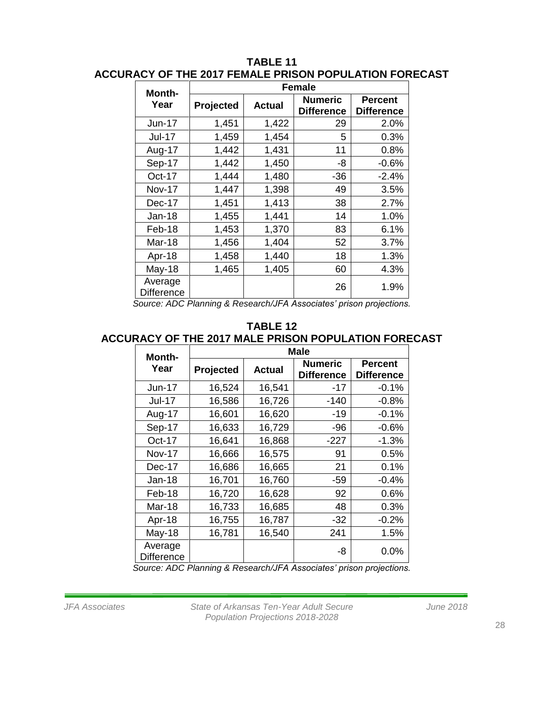| Month-                                                         | <b>Female</b> |                                                      |                   |                                     |  |
|----------------------------------------------------------------|---------------|------------------------------------------------------|-------------------|-------------------------------------|--|
| Year                                                           | Projected     | <b>Numeric</b><br><b>Actual</b><br><b>Difference</b> |                   | <b>Percent</b><br><b>Difference</b> |  |
| <b>Jun-17</b>                                                  | 1,451         | 1,422                                                | 29                | 2.0%                                |  |
| <b>Jul-17</b>                                                  | 1,459         | 1,454                                                | 5                 | 0.3%                                |  |
| Aug-17                                                         | 1,442         | 1,431                                                | 11                | 0.8%                                |  |
| Sep-17                                                         | 1,442         | 1,450                                                | -8                | $-0.6%$                             |  |
| Oct-17                                                         | 1,444         | 1,480                                                | $-36$             | $-2.4%$                             |  |
| <b>Nov-17</b>                                                  | 1,447         | 1,398                                                | 49                | 3.5%                                |  |
| Dec-17                                                         | 1,451         | 1,413                                                | 38                | 2.7%                                |  |
| Jan-18                                                         | 1,455         | 1,441                                                | 14                | 1.0%                                |  |
| Feb-18                                                         | 1,453         | 1,370                                                | 83                | 6.1%                                |  |
| Mar-18                                                         | 1,456         | 1,404                                                | 52                | 3.7%                                |  |
| Apr-18                                                         | 1,458         | 1,440                                                | 18                | 1.3%                                |  |
| <b>May-18</b>                                                  | 1,465         | 1,405                                                | 60                | 4.3%                                |  |
| Average<br><b>Difference</b><br>$\lambda$ $\sim$ $\sim$ $\sim$ |               | L/IFAA                                               | 26<br>$1 - 1 - 1$ | 1.9%<br>- 11 - 11                   |  |

## **TABLE 11 ACCURACY OF THE 2017 FEMALE PRISON POPULATION FORECAST**

*Source: ADC Planning & Research/JFA Associates' prison projections.*

#### **TABLE 12 ACCURACY OF THE 2017 MALE PRISON POPULATION FORECAST**

| Month-                       |           | <b>Male</b>   |                                     |                                     |  |  |
|------------------------------|-----------|---------------|-------------------------------------|-------------------------------------|--|--|
| Year                         | Projected | <b>Actual</b> | <b>Numeric</b><br><b>Difference</b> | <b>Percent</b><br><b>Difference</b> |  |  |
| <b>Jun-17</b>                | 16,524    | 16,541        | $-17$                               | $-0.1%$                             |  |  |
| <b>Jul-17</b>                | 16,586    | 16,726        | $-140$                              | $-0.8%$                             |  |  |
| Aug-17                       | 16,601    | 16,620        | $-19$                               | $-0.1%$                             |  |  |
| Sep-17                       | 16,633    | 16,729        | $-96$                               | $-0.6%$                             |  |  |
| Oct-17                       | 16,641    | 16,868        | $-227$                              | $-1.3%$                             |  |  |
| <b>Nov-17</b>                | 16,666    | 16,575        | 91                                  | 0.5%                                |  |  |
| Dec-17                       | 16,686    | 16,665        | 21                                  | 0.1%                                |  |  |
| Jan-18                       | 16,701    | 16,760        | -59                                 | $-0.4%$                             |  |  |
| Feb-18                       | 16,720    | 16,628        | 92                                  | 0.6%                                |  |  |
| Mar-18                       | 16,733    | 16,685        | 48                                  | 0.3%                                |  |  |
| Apr-18                       | 16,755    | 16,787        | $-32$                               | $-0.2%$                             |  |  |
| <b>May-18</b>                | 16,781    | 16,540        | 241                                 | 1.5%                                |  |  |
| Average<br><b>Difference</b> |           |               | -8                                  | 0.0%                                |  |  |

*Source: ADC Planning & Research/JFA Associates' prison projections.*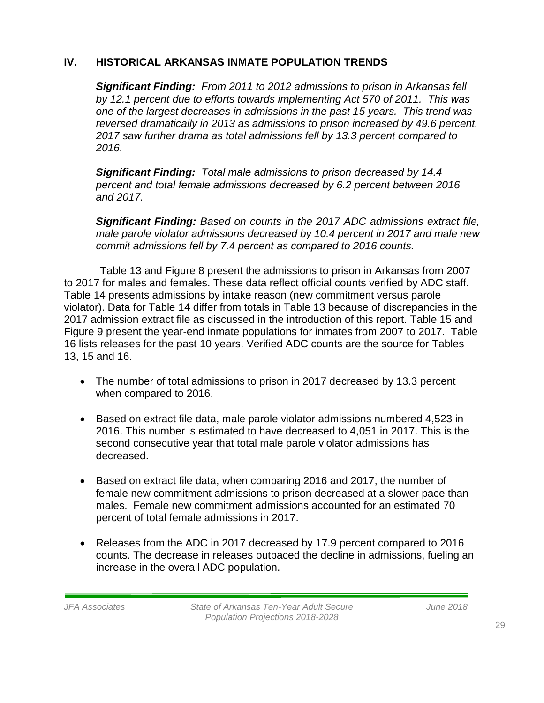# **IV. HISTORICAL ARKANSAS INMATE POPULATION TRENDS**

*Significant Finding: From 2011 to 2012 admissions to prison in Arkansas fell by 12.1 percent due to efforts towards implementing Act 570 of 2011. This was one of the largest decreases in admissions in the past 15 years. This trend was reversed dramatically in 2013 as admissions to prison increased by 49.6 percent. 2017 saw further drama as total admissions fell by 13.3 percent compared to 2016.* 

*Significant Finding: Total male admissions to prison decreased by 14.4 percent and total female admissions decreased by 6.2 percent between 2016 and 2017.* 

*Significant Finding: Based on counts in the 2017 ADC admissions extract file, male parole violator admissions decreased by 10.4 percent in 2017 and male new commit admissions fell by 7.4 percent as compared to 2016 counts.*

Table 13 and Figure 8 present the admissions to prison in Arkansas from 2007 to 2017 for males and females. These data reflect official counts verified by ADC staff. Table 14 presents admissions by intake reason (new commitment versus parole violator). Data for Table 14 differ from totals in Table 13 because of discrepancies in the 2017 admission extract file as discussed in the introduction of this report. Table 15 and Figure 9 present the year-end inmate populations for inmates from 2007 to 2017. Table 16 lists releases for the past 10 years. Verified ADC counts are the source for Tables 13, 15 and 16.

- The number of total admissions to prison in 2017 decreased by 13.3 percent when compared to 2016.
- Based on extract file data, male parole violator admissions numbered 4,523 in 2016. This number is estimated to have decreased to 4,051 in 2017. This is the second consecutive year that total male parole violator admissions has decreased.
- Based on extract file data, when comparing 2016 and 2017, the number of female new commitment admissions to prison decreased at a slower pace than males. Female new commitment admissions accounted for an estimated 70 percent of total female admissions in 2017.
- Releases from the ADC in 2017 decreased by 17.9 percent compared to 2016 counts. The decrease in releases outpaced the decline in admissions, fueling an increase in the overall ADC population.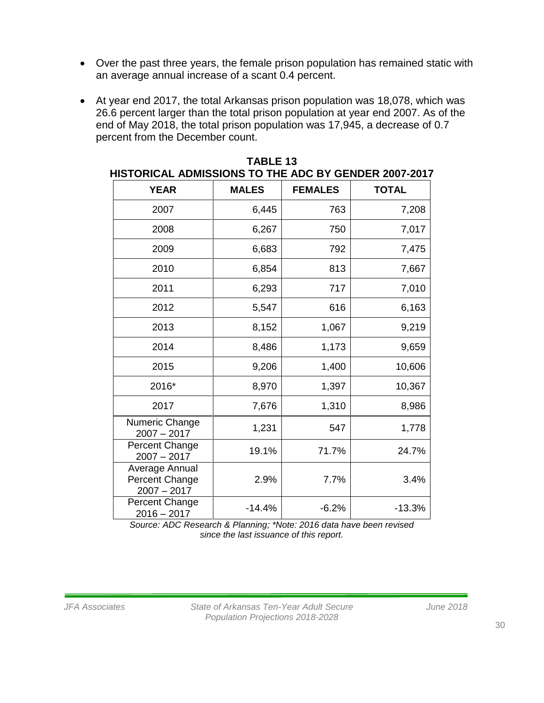- Over the past three years, the female prison population has remained static with an average annual increase of a scant 0.4 percent.
- At year end 2017, the total Arkansas prison population was 18,078, which was 26.6 percent larger than the total prison population at year end 2007. As of the end of May 2018, the total prison population was 17,945, a decrease of 0.7 percent from the December count.

| <b>YEAR</b>                                       | <b>MALES</b> | <b>FEMALES</b> | <b>TOTAL</b> |
|---------------------------------------------------|--------------|----------------|--------------|
| 2007                                              | 6,445        | 763            | 7,208        |
| 2008                                              | 6,267        | 750            | 7,017        |
| 2009                                              | 6,683        | 792            | 7,475        |
| 2010                                              | 6,854        | 813            | 7,667        |
| 2011                                              | 6,293        | 717            | 7,010        |
| 2012                                              | 5,547        | 616            | 6,163        |
| 2013                                              | 8,152        | 1,067          | 9,219        |
| 2014                                              | 8,486        | 1,173          | 9,659        |
| 2015                                              | 9,206        | 1,400          | 10,606       |
| 2016*                                             | 8,970        | 1,397          | 10,367       |
| 2017                                              | 7,676        | 1,310          | 8,986        |
| Numeric Change<br>$2007 - 2017$                   | 1,231        | 547            | 1,778        |
| <b>Percent Change</b><br>$2007 - 2017$            | 19.1%        | 71.7%          | 24.7%        |
| Average Annual<br>Percent Change<br>$2007 - 2017$ | 2.9%         | 7.7%           | 3.4%         |
| <b>Percent Change</b><br>$2016 - 2017$            | $-14.4%$     | $-6.2%$        | $-13.3%$     |

| TABLE 13                                             |
|------------------------------------------------------|
| HISTORICAL ADMISSIONS TO THE ADC BY GENDER 2007-2017 |

*Source: ADC Research & Planning; \*Note: 2016 data have been revised since the last issuance of this report.*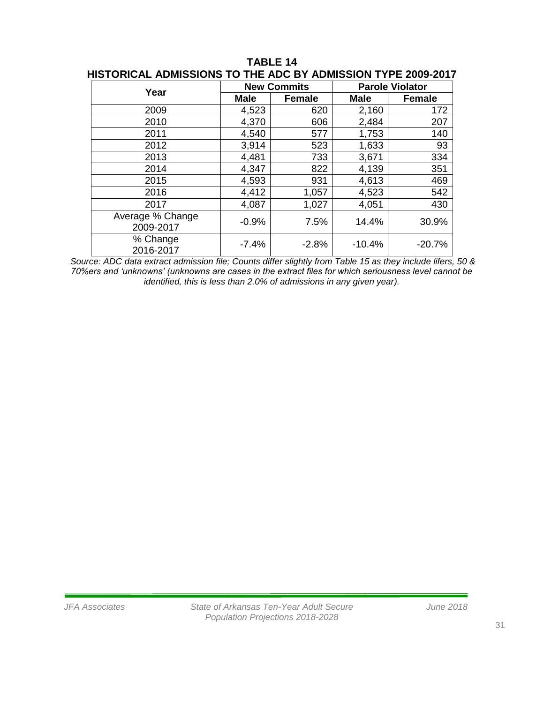| Year                          |             | <b>New Commits</b> | <b>Parole Violator</b> |               |  |
|-------------------------------|-------------|--------------------|------------------------|---------------|--|
|                               | <b>Male</b> | <b>Female</b>      | Male                   | <b>Female</b> |  |
| 2009                          | 4,523       | 620                | 2,160                  | 172           |  |
| 2010                          | 4,370       | 606                | 2,484                  | 207           |  |
| 2011                          | 4,540       | 577                | 1,753                  | 140           |  |
| 2012                          | 3,914       | 523                | 1,633                  | 93            |  |
| 2013                          | 4,481       | 733                | 3,671                  | 334           |  |
| 2014                          | 4,347       | 822                | 4,139                  | 351           |  |
| 2015                          | 4,593       | 931                | 4,613                  | 469           |  |
| 2016                          | 4,412       | 1,057              | 4,523                  | 542           |  |
| 2017                          | 4,087       | 1,027              | 4,051                  | 430           |  |
| Average % Change<br>2009-2017 | $-0.9%$     | 7.5%               | 14.4%                  | 30.9%         |  |
| % Change<br>2016-2017         | $-7.4%$     | $-2.8%$            | $-10.4%$               | $-20.7%$      |  |

**TABLE 14 HISTORICAL ADMISSIONS TO THE ADC BY ADMISSION TYPE 2009-2017**

*Source: ADC data extract admission file; Counts differ slightly from Table 15 as they include lifers, 50 & 70%ers and 'unknowns' (unknowns are cases in the extract files for which seriousness level cannot be identified, this is less than 2.0% of admissions in any given year).*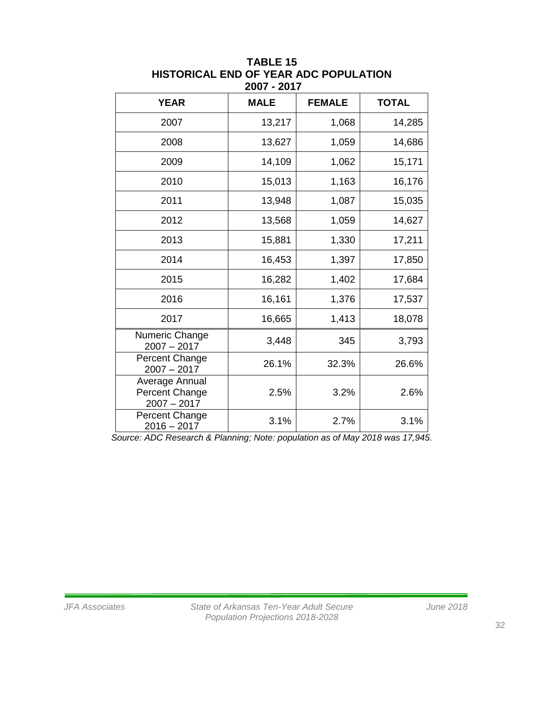| <b>YEAR</b>                                       | <b>MALE</b> | <b>FEMALE</b> | <b>TOTAL</b> |
|---------------------------------------------------|-------------|---------------|--------------|
| 2007                                              | 13,217      | 1,068         | 14,285       |
| 2008                                              | 13,627      | 1,059         | 14,686       |
| 2009                                              | 14,109      | 1,062         | 15,171       |
| 2010                                              | 15,013      | 1,163         | 16,176       |
| 2011                                              | 13,948      | 1,087         | 15,035       |
| 2012                                              | 13,568      | 1,059         | 14,627       |
| 2013                                              | 15,881      | 1,330         | 17,211       |
| 2014                                              | 16,453      | 1,397         | 17,850       |
| 2015                                              | 16,282      | 1,402         | 17,684       |
| 2016                                              | 16,161      | 1,376         | 17,537       |
| 2017                                              | 16,665      | 1,413         | 18,078       |
| Numeric Change<br>$2007 - 2017$                   | 3,448       | 345           | 3,793        |
| Percent Change<br>$2007 - 2017$                   | 26.1%       | 32.3%         | 26.6%        |
| Average Annual<br>Percent Change<br>$2007 - 2017$ | 2.5%        | 3.2%          | 2.6%         |
| Percent Change<br>$2016 - 2017$                   | 3.1%        | 2.7%          | 3.1%         |

**TABLE 15 HISTORICAL END OF YEAR ADC POPULATION 2007 - 2017**

*Source: ADC Research & Planning; Note: population as of May 2018 was 17,945.*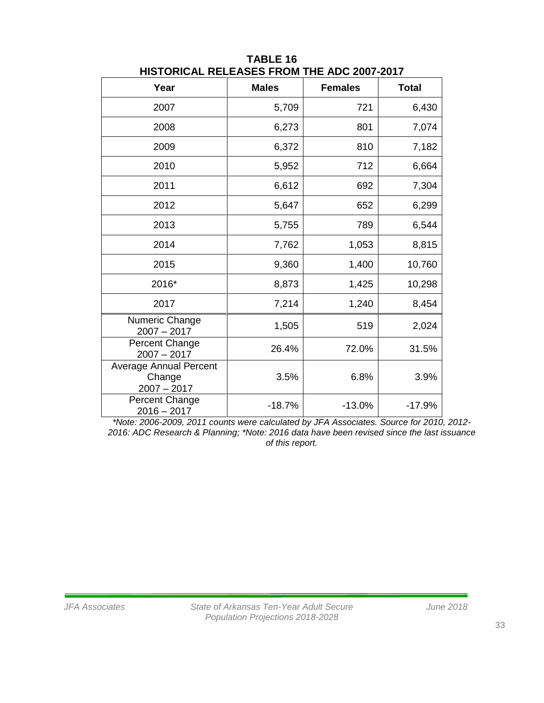| Year                                                     | <b>Males</b> | <b>Females</b> | <b>Total</b> |
|----------------------------------------------------------|--------------|----------------|--------------|
| 2007                                                     | 5,709        | 721            | 6,430        |
| 2008                                                     | 6,273        | 801            | 7,074        |
| 2009                                                     | 6,372        | 810            | 7,182        |
| 2010                                                     | 5,952        | 712            | 6,664        |
| 2011                                                     | 6,612        | 692            | 7,304        |
| 2012                                                     | 5,647        | 652            | 6,299        |
| 2013                                                     | 5,755        | 789            | 6,544        |
| 2014                                                     | 7,762        | 1,053          | 8,815        |
| 2015                                                     | 9,360        | 1,400          | 10,760       |
| 2016*                                                    | 8,873        | 1,425          | 10,298       |
| 2017                                                     | 7,214        | 1,240          | 8,454        |
| Numeric Change<br>$2007 - 2017$                          | 1,505        | 519            | 2,024        |
| Percent Change<br>$2007 - 2017$                          | 26.4%        | 72.0%          | 31.5%        |
| <b>Average Annual Percent</b><br>Change<br>$2007 - 2017$ | 3.5%         | 6.8%           | 3.9%         |
| Percent Change<br>$2016 - 2017$                          | $-18.7%$     | $-13.0%$       | $-17.9%$     |

**TABLE 16 HISTORICAL RELEASES FROM THE ADC 2007-2017**

*\*Note: 2006-2009, 2011 counts were calculated by JFA Associates. Source for 2010, 2012- 2016: ADC Research & Planning; \*Note: 2016 data have been revised since the last issuance of this report.*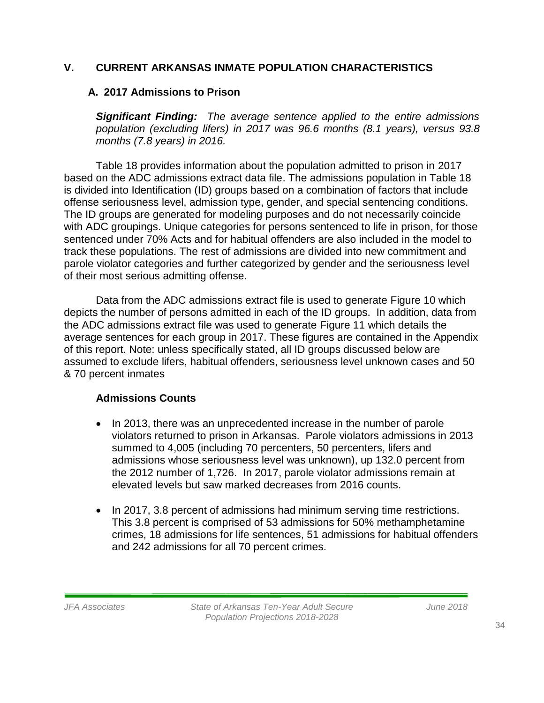## **V. CURRENT ARKANSAS INMATE POPULATION CHARACTERISTICS**

#### **A. 2017 Admissions to Prison**

*Significant Finding: The average sentence applied to the entire admissions population (excluding lifers) in 2017 was 96.6 months (8.1 years), versus 93.8 months (7.8 years) in 2016.*

Table 18 provides information about the population admitted to prison in 2017 based on the ADC admissions extract data file. The admissions population in Table 18 is divided into Identification (ID) groups based on a combination of factors that include offense seriousness level, admission type, gender, and special sentencing conditions. The ID groups are generated for modeling purposes and do not necessarily coincide with ADC groupings. Unique categories for persons sentenced to life in prison, for those sentenced under 70% Acts and for habitual offenders are also included in the model to track these populations. The rest of admissions are divided into new commitment and parole violator categories and further categorized by gender and the seriousness level of their most serious admitting offense.

Data from the ADC admissions extract file is used to generate Figure 10 which depicts the number of persons admitted in each of the ID groups. In addition, data from the ADC admissions extract file was used to generate Figure 11 which details the average sentences for each group in 2017. These figures are contained in the Appendix of this report. Note: unless specifically stated, all ID groups discussed below are assumed to exclude lifers, habitual offenders, seriousness level unknown cases and 50 & 70 percent inmates

#### **Admissions Counts**

- In 2013, there was an unprecedented increase in the number of parole violators returned to prison in Arkansas. Parole violators admissions in 2013 summed to 4,005 (including 70 percenters, 50 percenters, lifers and admissions whose seriousness level was unknown), up 132.0 percent from the 2012 number of 1,726. In 2017, parole violator admissions remain at elevated levels but saw marked decreases from 2016 counts.
- In 2017, 3.8 percent of admissions had minimum serving time restrictions. This 3.8 percent is comprised of 53 admissions for 50% methamphetamine crimes, 18 admissions for life sentences, 51 admissions for habitual offenders and 242 admissions for all 70 percent crimes.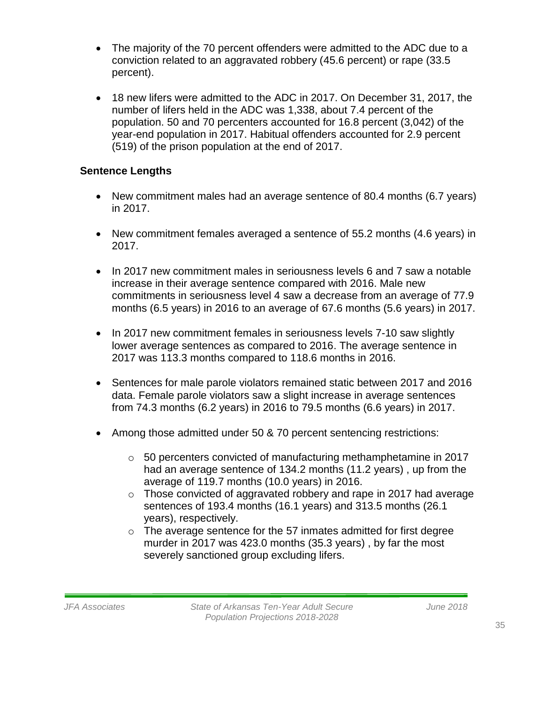- The majority of the 70 percent offenders were admitted to the ADC due to a conviction related to an aggravated robbery (45.6 percent) or rape (33.5 percent).
- 18 new lifers were admitted to the ADC in 2017. On December 31, 2017, the number of lifers held in the ADC was 1,338, about 7.4 percent of the population. 50 and 70 percenters accounted for 16.8 percent (3,042) of the year-end population in 2017. Habitual offenders accounted for 2.9 percent (519) of the prison population at the end of 2017.

# **Sentence Lengths**

- New commitment males had an average sentence of 80.4 months (6.7 years) in 2017.
- New commitment females averaged a sentence of 55.2 months (4.6 years) in 2017.
- In 2017 new commitment males in seriousness levels 6 and 7 saw a notable increase in their average sentence compared with 2016. Male new commitments in seriousness level 4 saw a decrease from an average of 77.9 months (6.5 years) in 2016 to an average of 67.6 months (5.6 years) in 2017.
- In 2017 new commitment females in seriousness levels 7-10 saw slightly lower average sentences as compared to 2016. The average sentence in 2017 was 113.3 months compared to 118.6 months in 2016.
- Sentences for male parole violators remained static between 2017 and 2016 data. Female parole violators saw a slight increase in average sentences from 74.3 months (6.2 years) in 2016 to 79.5 months (6.6 years) in 2017.
- Among those admitted under 50 & 70 percent sentencing restrictions:
	- o 50 percenters convicted of manufacturing methamphetamine in 2017 had an average sentence of 134.2 months (11.2 years) , up from the average of 119.7 months (10.0 years) in 2016.
	- o Those convicted of aggravated robbery and rape in 2017 had average sentences of 193.4 months (16.1 years) and 313.5 months (26.1 years), respectively.
	- o The average sentence for the 57 inmates admitted for first degree murder in 2017 was 423.0 months (35.3 years) , by far the most severely sanctioned group excluding lifers.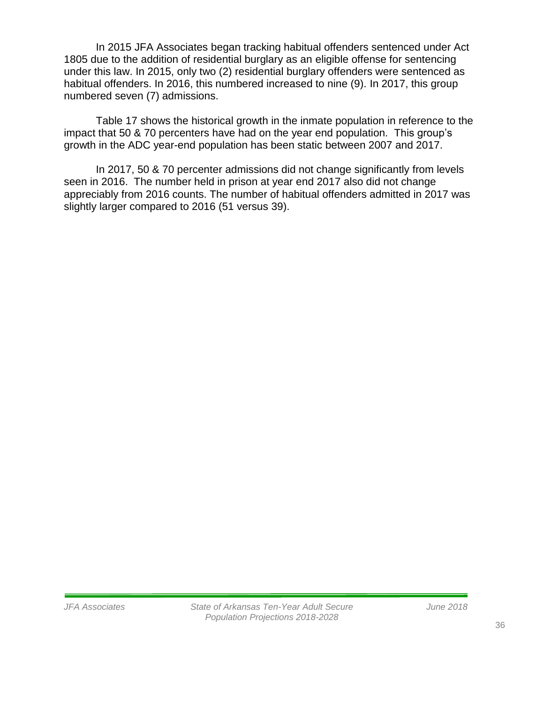In 2015 JFA Associates began tracking habitual offenders sentenced under Act 1805 due to the addition of residential burglary as an eligible offense for sentencing under this law. In 2015, only two (2) residential burglary offenders were sentenced as habitual offenders. In 2016, this numbered increased to nine (9). In 2017, this group numbered seven (7) admissions.

Table 17 shows the historical growth in the inmate population in reference to the impact that 50 & 70 percenters have had on the year end population. This group's growth in the ADC year-end population has been static between 2007 and 2017.

In 2017, 50 & 70 percenter admissions did not change significantly from levels seen in 2016. The number held in prison at year end 2017 also did not change appreciably from 2016 counts. The number of habitual offenders admitted in 2017 was slightly larger compared to 2016 (51 versus 39).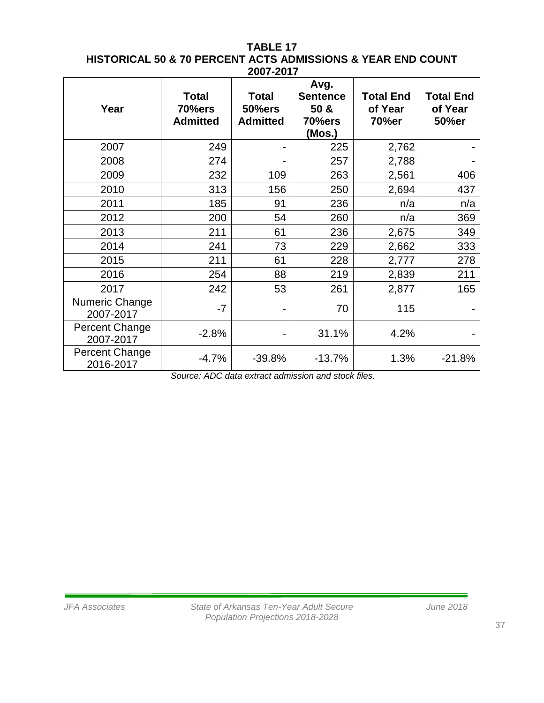#### **TABLE 17 HISTORICAL 50 & 70 PERCENT ACTS ADMISSIONS & YEAR END COUNT 2007-2017**

| Year                               | <b>Total</b><br>70%ers<br><b>Admitted</b> | <b>Total</b><br><b>50%ers</b><br><b>Admitted</b> | Avg.<br><b>Sentence</b><br>50 &<br>70%ers<br>(Mos.) | <b>Total End</b><br>of Year<br>70%er | <b>Total End</b><br>of Year<br>50%er |
|------------------------------------|-------------------------------------------|--------------------------------------------------|-----------------------------------------------------|--------------------------------------|--------------------------------------|
| 2007                               | 249                                       |                                                  | 225                                                 | 2,762                                |                                      |
| 2008                               | 274                                       |                                                  | 257                                                 | 2,788                                |                                      |
| 2009                               | 232                                       | 109                                              | 263                                                 | 2,561                                | 406                                  |
| 2010                               | 313                                       | 156                                              | 250                                                 | 2,694                                | 437                                  |
| 2011                               | 185                                       | 91                                               | 236                                                 | n/a                                  | n/a                                  |
| 2012                               | 200                                       | 54                                               | 260                                                 | n/a                                  | 369                                  |
| 2013                               | 211                                       | 61                                               | 236                                                 | 2,675                                | 349                                  |
| 2014                               | 241                                       | 73                                               | 229                                                 | 2,662                                | 333                                  |
| 2015                               | 211                                       | 61                                               | 228                                                 | 2,777                                | 278                                  |
| 2016                               | 254                                       | 88                                               | 219                                                 | 2,839                                | 211                                  |
| 2017                               | 242                                       | 53                                               | 261                                                 | 2,877                                | 165                                  |
| Numeric Change<br>2007-2017        | $-7$                                      |                                                  | 70                                                  | 115                                  |                                      |
| <b>Percent Change</b><br>2007-2017 | $-2.8%$                                   |                                                  | 31.1%                                               | 4.2%                                 |                                      |
| <b>Percent Change</b><br>2016-2017 | $-4.7%$                                   | $-39.8%$                                         | $-13.7%$                                            | 1.3%                                 | $-21.8%$                             |

*Source: ADC data extract admission and stock files.*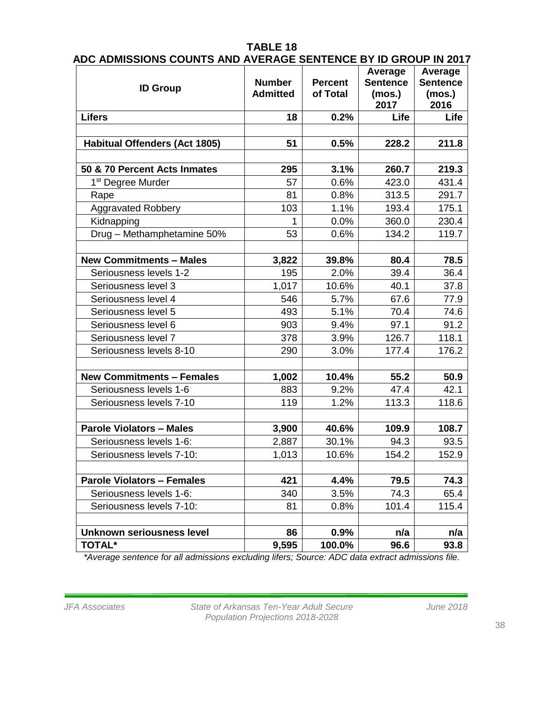|                                                                |                 |  | $\lambda$ $\lambda$ |  |
|----------------------------------------------------------------|-----------------|--|---------------------|--|
| ADC ADMISSIONS COUNTS AND AVERAGE SENTENCE BY ID GROUP IN 2017 |                 |  |                     |  |
|                                                                | <b>TABLE 18</b> |  |                     |  |
|                                                                |                 |  |                     |  |

| <b>ID Group</b>                      | <b>Number</b><br><b>Admitted</b> | <b>Percent</b><br>of Total | Average<br><b>Sentence</b><br>(mos.)<br>2017 |       |
|--------------------------------------|----------------------------------|----------------------------|----------------------------------------------|-------|
| <b>Lifers</b>                        | 18                               | 0.2%                       | Life                                         | Life  |
|                                      |                                  |                            |                                              |       |
| <b>Habitual Offenders (Act 1805)</b> | 51                               | 0.5%                       | 228.2                                        | 211.8 |
|                                      |                                  |                            |                                              |       |
| 50 & 70 Percent Acts Inmates         | 295                              | 3.1%                       | 260.7                                        | 219.3 |
| 1 <sup>st</sup> Degree Murder        | 57                               | 0.6%                       | 423.0                                        | 431.4 |
| Rape                                 | 81                               | 0.8%                       | 313.5                                        | 291.7 |
| <b>Aggravated Robbery</b>            | 103                              | 1.1%                       | 193.4                                        | 175.1 |
| Kidnapping                           | 1                                | 0.0%                       | 360.0                                        | 230.4 |
| Drug - Methamphetamine 50%           | 53                               | 0.6%                       | 134.2                                        | 119.7 |
|                                      |                                  |                            |                                              |       |
| <b>New Commitments - Males</b>       | 3,822                            | 39.8%                      | 80.4                                         | 78.5  |
| Seriousness levels 1-2               | 195                              | 2.0%                       | 39.4                                         | 36.4  |
| Seriousness level 3                  | 1,017                            | 10.6%                      | 40.1                                         | 37.8  |
| Seriousness level 4                  | 546                              | 5.7%                       | 67.6                                         | 77.9  |
| Seriousness level 5                  | 493                              | 5.1%                       | 70.4                                         | 74.6  |
| Seriousness level 6                  | 903                              | 9.4%                       | 97.1                                         | 91.2  |
| Seriousness level 7                  | 378                              | 3.9%                       | 126.7                                        | 118.1 |
| Seriousness levels 8-10              | 290                              | 3.0%                       | 177.4                                        | 176.2 |
|                                      |                                  |                            |                                              |       |
| <b>New Commitments - Females</b>     | 1,002                            | 10.4%                      | 55.2                                         | 50.9  |
| Seriousness levels 1-6               | 883                              | 9.2%                       | 47.4                                         | 42.1  |
| Seriousness levels 7-10              | 119                              | 1.2%                       | 113.3                                        | 118.6 |
|                                      |                                  |                            |                                              |       |
| <b>Parole Violators - Males</b>      | 3,900                            | 40.6%                      | 109.9                                        | 108.7 |
| Seriousness levels 1-6:              | 2,887                            | 30.1%                      | 94.3                                         | 93.5  |
| Seriousness levels 7-10:             | 1,013                            | 10.6%                      | 154.2                                        | 152.9 |
|                                      |                                  |                            |                                              |       |
| <b>Parole Violators - Females</b>    | 421                              | 4.4%                       | 79.5                                         | 74.3  |
| Seriousness levels 1-6:              | 340                              | 3.5%                       | 74.3                                         | 65.4  |
| Seriousness levels 7-10:             | 81                               | 0.8%                       | 101.4                                        | 115.4 |
|                                      |                                  |                            |                                              |       |
| Unknown seriousness level            | 86                               | 0.9%                       | n/a                                          | n/a   |
| <b>TOTAL*</b>                        | 9,595                            | 100.0%                     | 96.6                                         | 93.8  |

*\*Average sentence for all admissions excluding lifers; Source: ADC data extract admissions file.*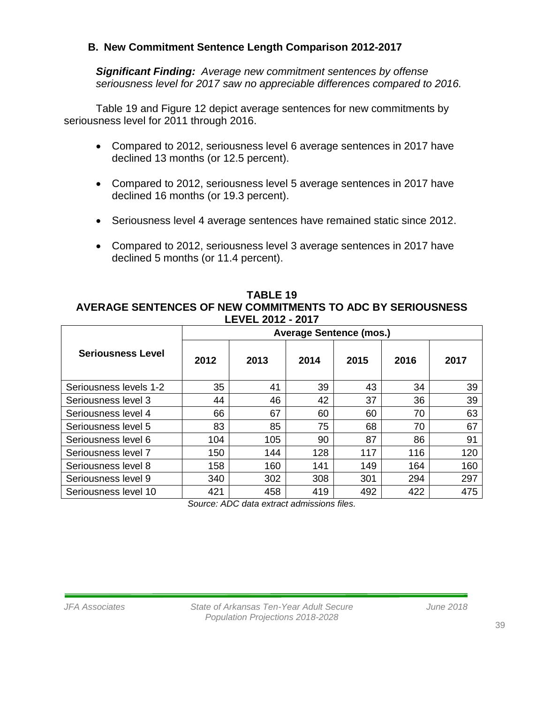# **B. New Commitment Sentence Length Comparison 2012-2017**

*Significant Finding: Average new commitment sentences by offense seriousness level for 2017 saw no appreciable differences compared to 2016.*

Table 19 and Figure 12 depict average sentences for new commitments by seriousness level for 2011 through 2016.

- Compared to 2012, seriousness level 6 average sentences in 2017 have declined 13 months (or 12.5 percent).
- Compared to 2012, seriousness level 5 average sentences in 2017 have declined 16 months (or 19.3 percent).
- Seriousness level 4 average sentences have remained static since 2012.
- Compared to 2012, seriousness level 3 average sentences in 2017 have declined 5 months (or 11.4 percent).

**TABLE 19 AVERAGE SENTENCES OF NEW COMMITMENTS TO ADC BY SERIOUSNESS LEVEL 2012 - 2017**

|                          | <b>Average Sentence (mos.)</b> |      |      |      |      |      |  |  |
|--------------------------|--------------------------------|------|------|------|------|------|--|--|
| <b>Seriousness Level</b> | 2012                           | 2013 | 2014 | 2015 | 2016 | 2017 |  |  |
| Seriousness levels 1-2   | 35                             | 41   | 39   | 43   | 34   | 39   |  |  |
| Seriousness level 3      | 44                             | 46   | 42   | 37   | 36   | 39   |  |  |
| Seriousness level 4      | 66                             | 67   | 60   | 60   | 70   | 63   |  |  |
| Seriousness level 5      | 83                             | 85   | 75   | 68   | 70   | 67   |  |  |
| Seriousness level 6      | 104                            | 105  | 90   | 87   | 86   | 91   |  |  |
| Seriousness level 7      | 150                            | 144  | 128  | 117  | 116  | 120  |  |  |
| Seriousness level 8      | 158                            | 160  | 141  | 149  | 164  | 160  |  |  |
| Seriousness level 9      | 340                            | 302  | 308  | 301  | 294  | 297  |  |  |
| Seriousness level 10     | 421                            | 458  | 419  | 492  | 422  | 475  |  |  |

*Source: ADC data extract admissions files.*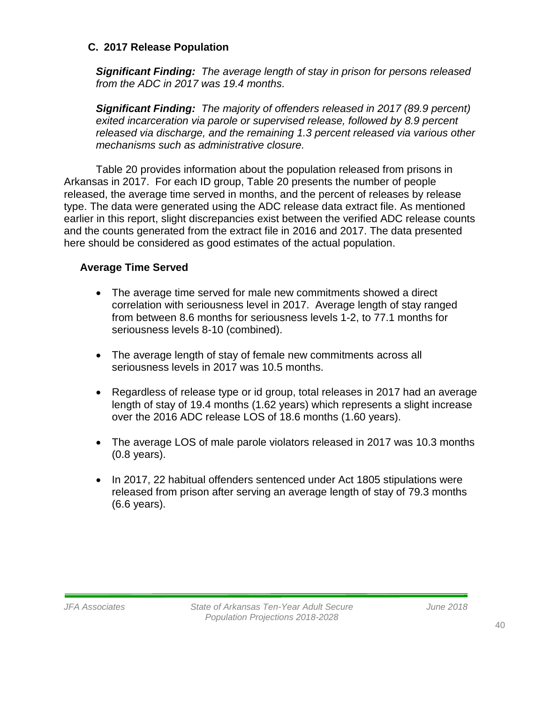#### **C. 2017 Release Population**

*Significant Finding: The average length of stay in prison for persons released from the ADC in 2017 was 19.4 months.* 

*Significant Finding: The majority of offenders released in 2017 (89.9 percent) exited incarceration via parole or supervised release, followed by 8.9 percent released via discharge, and the remaining 1.3 percent released via various other mechanisms such as administrative closure.*

Table 20 provides information about the population released from prisons in Arkansas in 2017. For each ID group, Table 20 presents the number of people released, the average time served in months, and the percent of releases by release type. The data were generated using the ADC release data extract file. As mentioned earlier in this report, slight discrepancies exist between the verified ADC release counts and the counts generated from the extract file in 2016 and 2017. The data presented here should be considered as good estimates of the actual population.

# **Average Time Served**

- The average time served for male new commitments showed a direct correlation with seriousness level in 2017. Average length of stay ranged from between 8.6 months for seriousness levels 1-2, to 77.1 months for seriousness levels 8-10 (combined).
- The average length of stay of female new commitments across all seriousness levels in 2017 was 10.5 months.
- Regardless of release type or id group, total releases in 2017 had an average length of stay of 19.4 months (1.62 years) which represents a slight increase over the 2016 ADC release LOS of 18.6 months (1.60 years).
- The average LOS of male parole violators released in 2017 was 10.3 months (0.8 years).
- In 2017, 22 habitual offenders sentenced under Act 1805 stipulations were released from prison after serving an average length of stay of 79.3 months (6.6 years).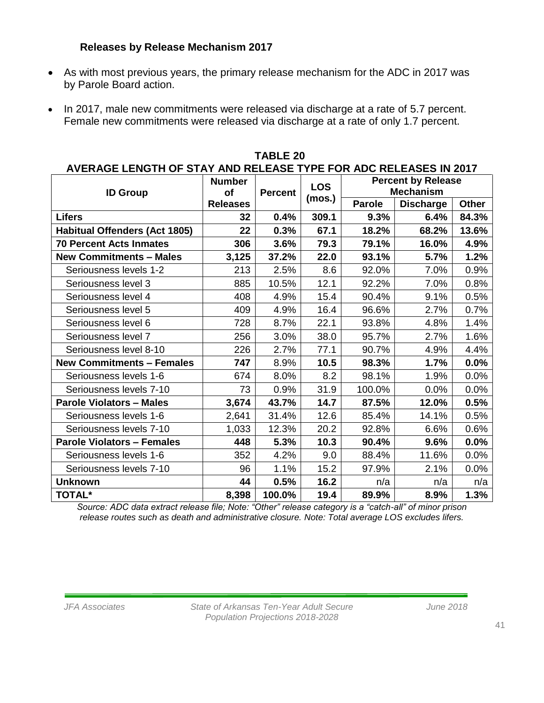## **Releases by Release Mechanism 2017**

- As with most previous years, the primary release mechanism for the ADC in 2017 was by Parole Board action.
- In 2017, male new commitments were released via discharge at a rate of 5.7 percent. Female new commitments were released via discharge at a rate of only 1.7 percent.

| AVERAGE LENGTH OF STAY AND RELEASE TYPE FOR ADC RELEASES IN 2017 |                 |                |                      |                           |                  |         |  |  |  |
|------------------------------------------------------------------|-----------------|----------------|----------------------|---------------------------|------------------|---------|--|--|--|
|                                                                  | <b>Number</b>   |                | <b>LOS</b><br>(mos.) | <b>Percent by Release</b> |                  |         |  |  |  |
| <b>ID Group</b>                                                  | of              | <b>Percent</b> |                      |                           | <b>Mechanism</b> |         |  |  |  |
|                                                                  | <b>Releases</b> |                |                      | <b>Parole</b>             | <b>Discharge</b> | Other   |  |  |  |
| <b>Lifers</b>                                                    | 32              | 0.4%           | 309.1                | 9.3%                      | 6.4%             | 84.3%   |  |  |  |
| <b>Habitual Offenders (Act 1805)</b>                             | 22              | 0.3%           | 67.1                 | 18.2%                     | 68.2%            | 13.6%   |  |  |  |
| <b>70 Percent Acts Inmates</b>                                   | 306             | 3.6%           | 79.3                 | 79.1%                     | 16.0%            | 4.9%    |  |  |  |
| <b>New Commitments - Males</b>                                   | 3,125           | 37.2%          | 22.0                 | 93.1%                     | 5.7%             | 1.2%    |  |  |  |
| Seriousness levels 1-2                                           | 213             | 2.5%           | 8.6                  | 92.0%                     | 7.0%             | 0.9%    |  |  |  |
| Seriousness level 3                                              | 885             | 10.5%          | 12.1                 | 92.2%                     | 7.0%             | 0.8%    |  |  |  |
| Seriousness level 4                                              | 408             | 4.9%           | 15.4                 | 90.4%                     | 9.1%             | 0.5%    |  |  |  |
| Seriousness level 5                                              | 409             | 4.9%           | 16.4                 | 96.6%                     | 2.7%             | 0.7%    |  |  |  |
| Seriousness level 6                                              | 728             | 8.7%           | 22.1                 | 93.8%                     | 4.8%             | 1.4%    |  |  |  |
| Seriousness level 7                                              | 256             | 3.0%           | 38.0                 | 95.7%                     | 2.7%             | 1.6%    |  |  |  |
| Seriousness level 8-10                                           | 226             | 2.7%           | 77.1                 | 90.7%                     | 4.9%             | 4.4%    |  |  |  |
| <b>New Commitments - Females</b>                                 | 747             | 8.9%           | 10.5                 | 98.3%                     | 1.7%             | $0.0\%$ |  |  |  |
| Seriousness levels 1-6                                           | 674             | 8.0%           | 8.2                  | 98.1%                     | 1.9%             | 0.0%    |  |  |  |
| Seriousness levels 7-10                                          | 73              | 0.9%           | 31.9                 | 100.0%                    | 0.0%             | 0.0%    |  |  |  |
| <b>Parole Violators - Males</b>                                  | 3,674           | 43.7%          | 14.7                 | 87.5%                     | 12.0%            | 0.5%    |  |  |  |
| Seriousness levels 1-6                                           | 2,641           | 31.4%          | 12.6                 | 85.4%                     | 14.1%            | 0.5%    |  |  |  |
| Seriousness levels 7-10                                          | 1,033           | 12.3%          | 20.2                 | 92.8%                     | 6.6%             | 0.6%    |  |  |  |
| <b>Parole Violators - Females</b>                                | 448             | 5.3%           | 10.3                 | 90.4%                     | 9.6%             | 0.0%    |  |  |  |
| Seriousness levels 1-6                                           | 352             | 4.2%           | 9.0                  | 88.4%                     | 11.6%            | 0.0%    |  |  |  |
| Seriousness levels 7-10                                          | 96              | 1.1%           | 15.2                 | 97.9%                     | 2.1%             | 0.0%    |  |  |  |
| <b>Unknown</b>                                                   | 44              | 0.5%           | 16.2                 | n/a                       | n/a              | n/a     |  |  |  |
| <b>TOTAL*</b>                                                    | 8,398           | 100.0%         | 19.4                 | 89.9%                     | 8.9%             | 1.3%    |  |  |  |

**TABLE 20**

*Source: ADC data extract release file; Note: "Other" release category is a "catch-all" of minor prison release routes such as death and administrative closure. Note: Total average LOS excludes lifers.*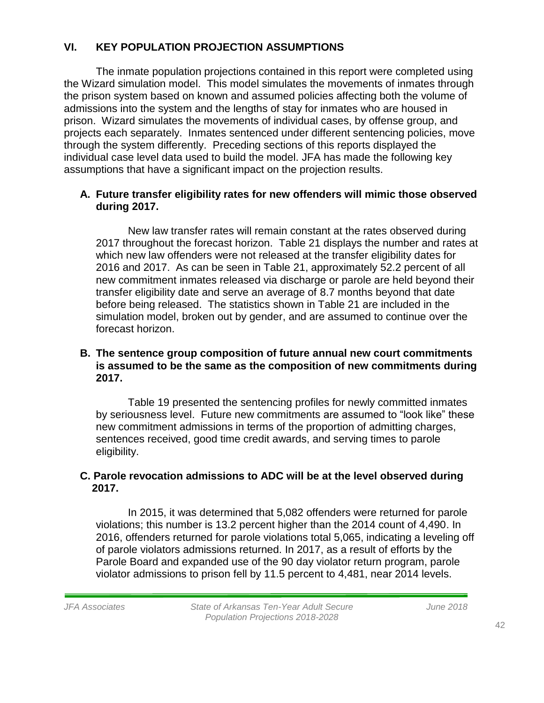# **VI. KEY POPULATION PROJECTION ASSUMPTIONS**

The inmate population projections contained in this report were completed using the Wizard simulation model. This model simulates the movements of inmates through the prison system based on known and assumed policies affecting both the volume of admissions into the system and the lengths of stay for inmates who are housed in prison. Wizard simulates the movements of individual cases, by offense group, and projects each separately. Inmates sentenced under different sentencing policies, move through the system differently. Preceding sections of this reports displayed the individual case level data used to build the model. JFA has made the following key assumptions that have a significant impact on the projection results.

# **A. Future transfer eligibility rates for new offenders will mimic those observed during 2017.**

New law transfer rates will remain constant at the rates observed during 2017 throughout the forecast horizon. Table 21 displays the number and rates at which new law offenders were not released at the transfer eligibility dates for 2016 and 2017. As can be seen in Table 21, approximately 52.2 percent of all new commitment inmates released via discharge or parole are held beyond their transfer eligibility date and serve an average of 8.7 months beyond that date before being released. The statistics shown in Table 21 are included in the simulation model, broken out by gender, and are assumed to continue over the forecast horizon.

#### **B. The sentence group composition of future annual new court commitments is assumed to be the same as the composition of new commitments during 2017.**

Table 19 presented the sentencing profiles for newly committed inmates by seriousness level. Future new commitments are assumed to "look like" these new commitment admissions in terms of the proportion of admitting charges, sentences received, good time credit awards, and serving times to parole eligibility.

# **C. Parole revocation admissions to ADC will be at the level observed during 2017.**

In 2015, it was determined that 5,082 offenders were returned for parole violations; this number is 13.2 percent higher than the 2014 count of 4,490. In 2016, offenders returned for parole violations total 5,065, indicating a leveling off of parole violators admissions returned. In 2017, as a result of efforts by the Parole Board and expanded use of the 90 day violator return program, parole violator admissions to prison fell by 11.5 percent to 4,481, near 2014 levels.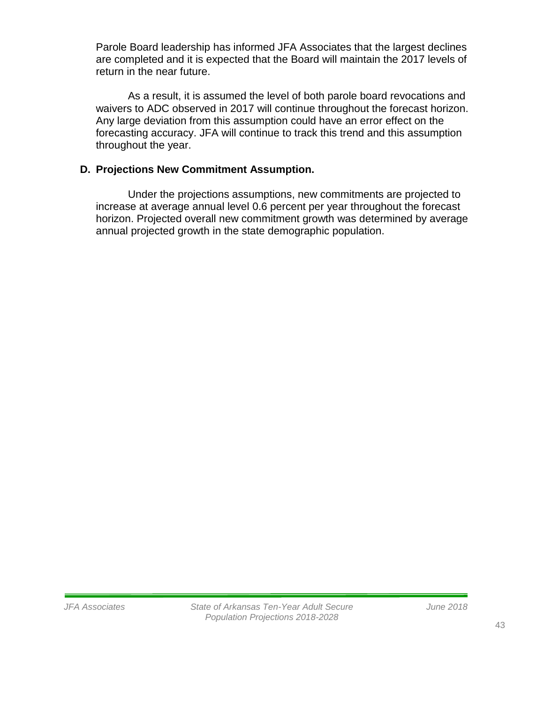Parole Board leadership has informed JFA Associates that the largest declines are completed and it is expected that the Board will maintain the 2017 levels of return in the near future.

As a result, it is assumed the level of both parole board revocations and waivers to ADC observed in 2017 will continue throughout the forecast horizon. Any large deviation from this assumption could have an error effect on the forecasting accuracy. JFA will continue to track this trend and this assumption throughout the year.

# **D. Projections New Commitment Assumption.**

Under the projections assumptions, new commitments are projected to increase at average annual level 0.6 percent per year throughout the forecast horizon. Projected overall new commitment growth was determined by average annual projected growth in the state demographic population.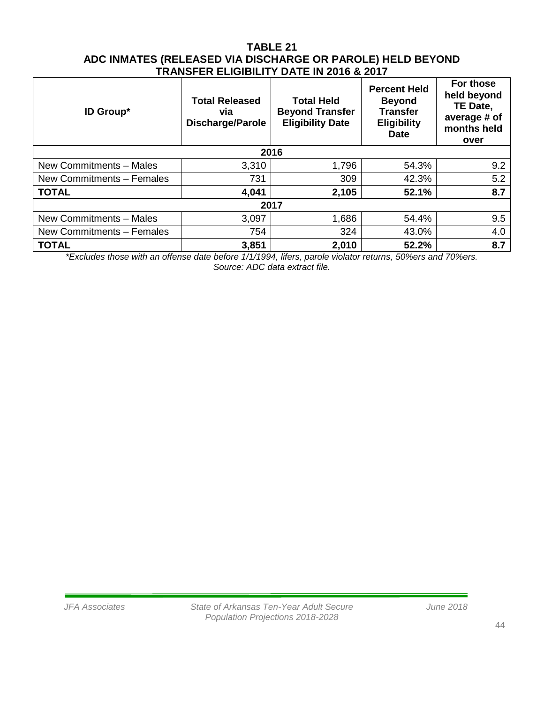#### **TABLE 21 ADC INMATES (RELEASED VIA DISCHARGE OR PAROLE) HELD BEYOND TRANSFER ELIGIBILITY DATE IN 2016 & 2017**

| <b>ID Group*</b>          | <b>Total Released</b><br>via<br><b>Discharge/Parole</b> | <b>Total Held</b><br><b>Beyond Transfer</b><br><b>Eligibility Date</b> | <b>Percent Held</b><br><b>Beyond</b><br><b>Transfer</b><br><b>Eligibility</b><br><b>Date</b> | For those<br>held beyond<br>TE Date,<br>average # of<br>months held<br>over |  |
|---------------------------|---------------------------------------------------------|------------------------------------------------------------------------|----------------------------------------------------------------------------------------------|-----------------------------------------------------------------------------|--|
|                           |                                                         | 2016                                                                   |                                                                                              |                                                                             |  |
| New Commitments - Males   | 3,310                                                   | 1,796                                                                  | 54.3%                                                                                        | 9.2                                                                         |  |
| New Commitments - Females | 731                                                     | 309                                                                    | 42.3%                                                                                        | 5.2                                                                         |  |
| <b>TOTAL</b>              | 4,041                                                   | 2,105                                                                  | 52.1%                                                                                        | 8.7                                                                         |  |
|                           |                                                         | 2017                                                                   |                                                                                              |                                                                             |  |
| New Commitments - Males   | 3,097                                                   | 1,686                                                                  | 54.4%                                                                                        | 9.5                                                                         |  |
| New Commitments - Females | 754                                                     | 324                                                                    | 43.0%                                                                                        | 4.0                                                                         |  |
| <b>TOTAL</b>              | 3,851                                                   | 2,010                                                                  | 52.2%                                                                                        | 8.7                                                                         |  |

*\*Excludes those with an offense date before 1/1/1994, lifers, parole violator returns, 50%ers and 70%ers. Source: ADC data extract file.*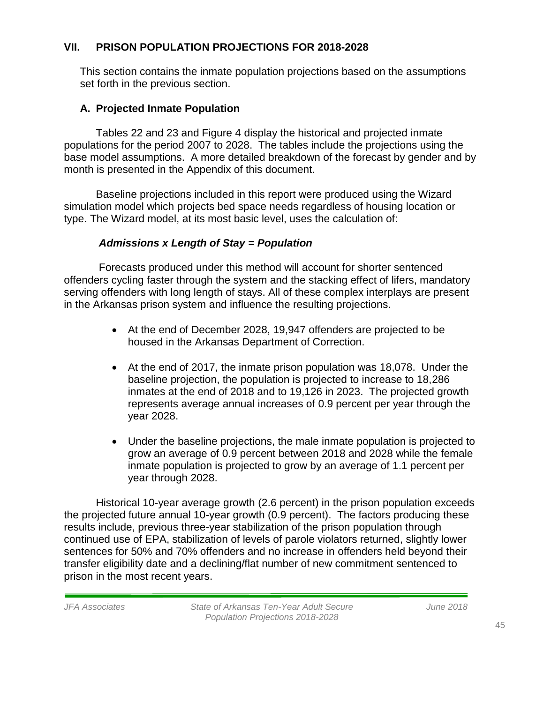# **VII. PRISON POPULATION PROJECTIONS FOR 2018-2028**

This section contains the inmate population projections based on the assumptions set forth in the previous section.

# **A. Projected Inmate Population**

Tables 22 and 23 and Figure 4 display the historical and projected inmate populations for the period 2007 to 2028. The tables include the projections using the base model assumptions. A more detailed breakdown of the forecast by gender and by month is presented in the Appendix of this document.

Baseline projections included in this report were produced using the Wizard simulation model which projects bed space needs regardless of housing location or type. The Wizard model, at its most basic level, uses the calculation of:

# *Admissions x Length of Stay = Population*

Forecasts produced under this method will account for shorter sentenced offenders cycling faster through the system and the stacking effect of lifers, mandatory serving offenders with long length of stays. All of these complex interplays are present in the Arkansas prison system and influence the resulting projections.

- At the end of December 2028, 19,947 offenders are projected to be housed in the Arkansas Department of Correction.
- At the end of 2017, the inmate prison population was 18,078. Under the baseline projection, the population is projected to increase to 18,286 inmates at the end of 2018 and to 19,126 in 2023. The projected growth represents average annual increases of 0.9 percent per year through the year 2028.
- Under the baseline projections, the male inmate population is projected to grow an average of 0.9 percent between 2018 and 2028 while the female inmate population is projected to grow by an average of 1.1 percent per year through 2028.

Historical 10-year average growth (2.6 percent) in the prison population exceeds the projected future annual 10-year growth (0.9 percent). The factors producing these results include, previous three-year stabilization of the prison population through continued use of EPA, stabilization of levels of parole violators returned, slightly lower sentences for 50% and 70% offenders and no increase in offenders held beyond their transfer eligibility date and a declining/flat number of new commitment sentenced to prison in the most recent years.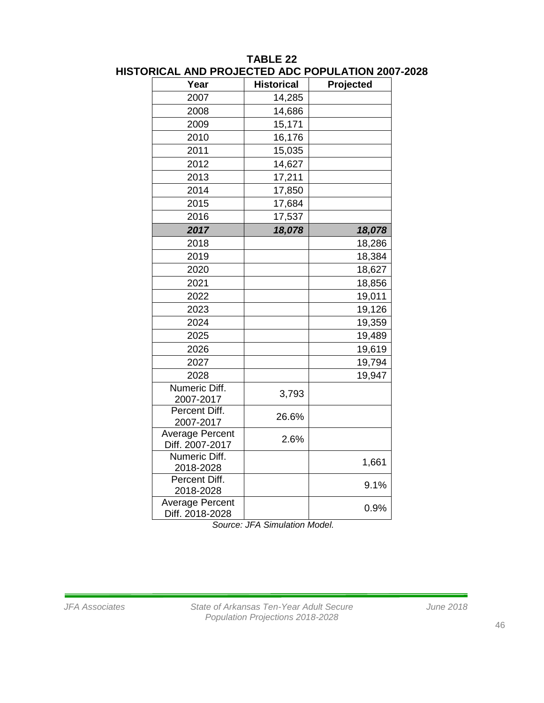| <b>AITH LIVE</b>                          | ו טשת שבו         | <b>UI ULATIUR ZUU</b> |
|-------------------------------------------|-------------------|-----------------------|
| Year                                      | <b>Historical</b> | Projected             |
| 2007                                      | 14,285            |                       |
| 2008                                      | 14,686            |                       |
| 2009                                      | 15,171            |                       |
| 2010                                      | 16,176            |                       |
| 2011                                      | 15,035            |                       |
| 2012                                      | 14,627            |                       |
| 2013                                      | 17,211            |                       |
| 2014                                      | 17,850            |                       |
| 2015                                      | 17,684            |                       |
| 2016                                      | 17,537            |                       |
| 2017                                      | 18,078            | 18,078                |
| 2018                                      |                   | 18,286                |
| 2019                                      |                   | 18,384                |
| 2020                                      |                   | 18,627                |
| 2021                                      |                   | 18,856                |
| 2022                                      |                   | 19,011                |
| 2023                                      |                   | 19,126                |
| 2024                                      |                   | 19,359                |
| 2025                                      |                   | 19,489                |
| 2026                                      |                   | 19,619                |
| 2027                                      |                   | 19,794                |
| 2028                                      |                   | 19,947                |
| Numeric Diff.<br>2007-2017                | 3,793             |                       |
| Percent Diff.<br>2007-2017                | 26.6%             |                       |
| Average Percent<br>Diff. 2007-2017        | 2.6%              |                       |
| Numeric Diff.<br>2018-2028                |                   | 1,661                 |
| Percent Diff.<br>2018-2028                |                   | 9.1%                  |
| <b>Average Percent</b><br>Diff. 2018-2028 |                   | 0.9%                  |

#### **TABLE 22 HISTORICAL AND PROJECTED ADC POPULATION 2007-2028**

*Source: JFA Simulation Model.*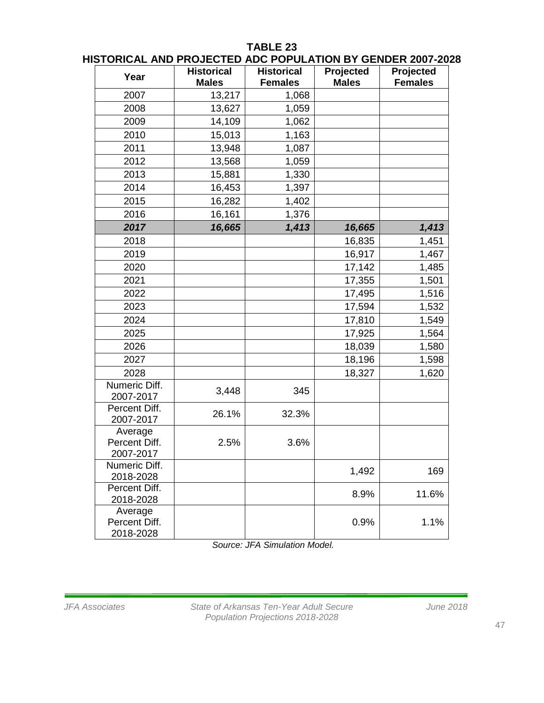# **TABLE 23**

| Year                                  | <b>Historical</b><br><b>Males</b> | <b>Historical</b><br><b>Females</b> | Projected<br><b>Males</b> | Projected<br><b>Females</b> |
|---------------------------------------|-----------------------------------|-------------------------------------|---------------------------|-----------------------------|
| 2007                                  | 13,217                            | 1,068                               |                           |                             |
| 2008                                  | 13,627                            | 1,059                               |                           |                             |
| 2009                                  | 14,109                            | 1,062                               |                           |                             |
| 2010                                  | 15,013                            | 1,163                               |                           |                             |
| 2011                                  | 13,948                            | 1,087                               |                           |                             |
| 2012                                  | 13,568                            | 1,059                               |                           |                             |
| 2013                                  | 15,881                            | 1,330                               |                           |                             |
| 2014                                  | 16,453                            | 1,397                               |                           |                             |
| 2015                                  | 16,282                            | 1,402                               |                           |                             |
| 2016                                  | 16,161                            | 1,376                               |                           |                             |
| 2017                                  | 16,665                            | 1,413                               | 16,665                    | 1,413                       |
| 2018                                  |                                   |                                     | 16,835                    | 1,451                       |
| 2019                                  |                                   |                                     | 16,917                    | 1,467                       |
| 2020                                  |                                   |                                     | 17,142                    | 1,485                       |
| 2021                                  |                                   |                                     | 17,355                    | 1,501                       |
| 2022                                  |                                   |                                     | 17,495                    | 1,516                       |
| 2023                                  |                                   |                                     | 17,594                    | 1,532                       |
| 2024                                  |                                   |                                     | 17,810                    | 1,549                       |
| 2025                                  |                                   |                                     | 17,925                    | 1,564                       |
| 2026                                  |                                   |                                     | 18,039                    | 1,580                       |
| 2027                                  |                                   |                                     | 18,196                    | 1,598                       |
| 2028                                  |                                   |                                     | 18,327                    | 1,620                       |
| Numeric Diff.<br>2007-2017            | 3,448                             | 345                                 |                           |                             |
| Percent Diff.<br>2007-2017            | 26.1%                             | 32.3%                               |                           |                             |
| Average<br>Percent Diff.<br>2007-2017 | 2.5%                              | 3.6%                                |                           |                             |
| Numeric Diff.<br>2018-2028            |                                   |                                     | 1,492                     | 169                         |
| Percent Diff.<br>2018-2028            |                                   |                                     | 8.9%                      | 11.6%                       |
| Average<br>Percent Diff.<br>2018-2028 |                                   |                                     | 0.9%                      | 1.1%                        |

**HISTORICAL AND PROJECTED ADC POPULATION BY GENDER 2007-2028**

*Source: JFA Simulation Model.*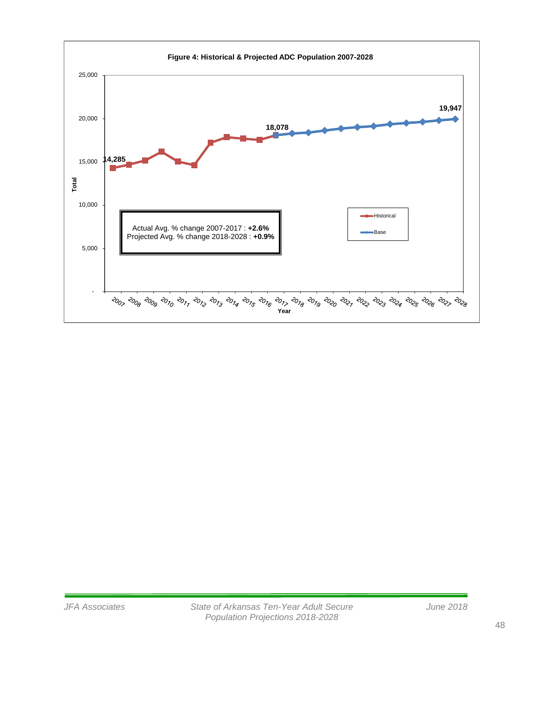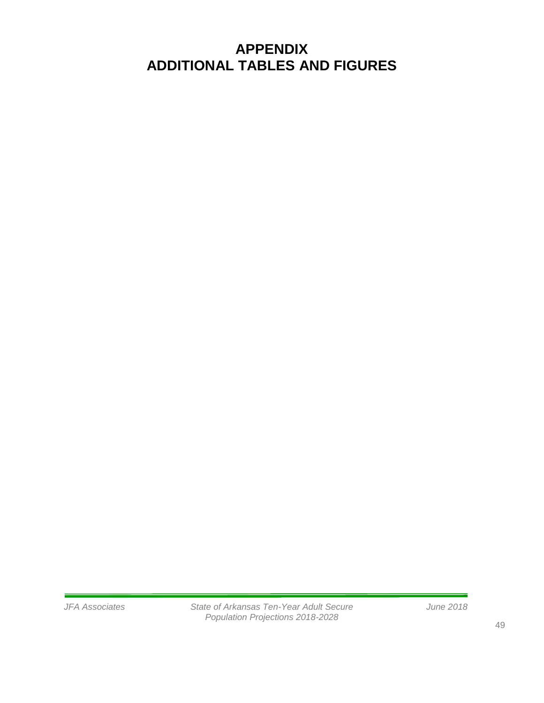# **APPENDIX ADDITIONAL TABLES AND FIGURES**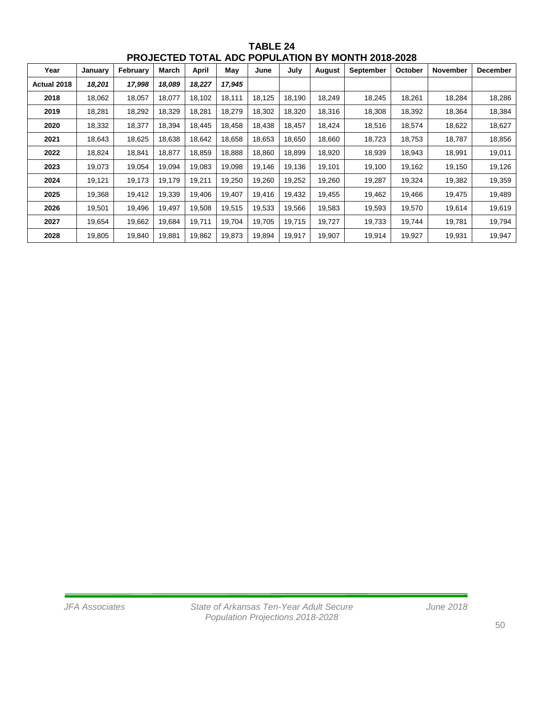| Year        | January | February | March  | <b>April</b> | May    | June   | July   | <b>August</b> | <b>September</b> | October | <b>November</b> | <b>December</b> |
|-------------|---------|----------|--------|--------------|--------|--------|--------|---------------|------------------|---------|-----------------|-----------------|
| Actual 2018 | 18,201  | 17,998   | 18,089 | 18,227       | 17,945 |        |        |               |                  |         |                 |                 |
| 2018        | 18,062  | 18,057   | 18,077 | 18,102       | 18,111 | 18,125 | 18,190 | 18,249        | 18,245           | 18,261  | 18,284          | 18,286          |
| 2019        | 18,281  | 18,292   | 18,329 | 18,281       | 18,279 | 18,302 | 18,320 | 18,316        | 18,308           | 18,392  | 18,364          | 18,384          |
| 2020        | 18,332  | 18,377   | 18,394 | 18,445       | 18,458 | 18,438 | 18,457 | 18,424        | 18,516           | 18,574  | 18,622          | 18,627          |
| 2021        | 18,643  | 18,625   | 18,638 | 18,642       | 18,658 | 18,653 | 18,650 | 18,660        | 18,723           | 18,753  | 18,787          | 18,856          |
| 2022        | 18,824  | 18,841   | 18,877 | 18,859       | 18,888 | 18,860 | 18,899 | 18,920        | 18,939           | 18,943  | 18,991          | 19,011          |
| 2023        | 19,073  | 19,054   | 19,094 | 19,083       | 19,098 | 19,146 | 19,136 | 19,101        | 19,100           | 19,162  | 19,150          | 19,126          |
| 2024        | 19,121  | 19,173   | 19,179 | 19,211       | 19,250 | 19,260 | 19,252 | 19,260        | 19,287           | 19,324  | 19,382          | 19,359          |
| 2025        | 19,368  | 19,412   | 19,339 | 19,406       | 19,407 | 19,416 | 19,432 | 19,455        | 19,462           | 19,466  | 19,475          | 19,489          |
| 2026        | 19,501  | 19,496   | 19,497 | 19,508       | 19,515 | 19,533 | 19,566 | 19,583        | 19,593           | 19,570  | 19,614          | 19,619          |
| 2027        | 19,654  | 19,662   | 19,684 | 19,711       | 19,704 | 19.705 | 19,715 | 19,727        | 19,733           | 19,744  | 19,781          | 19,794          |
| 2028        | 19,805  | 19,840   | 19,881 | 19,862       | 19,873 | 19,894 | 19,917 | 19,907        | 19,914           | 19,927  | 19,931          | 19,947          |

**TABLE 24 PROJECTED TOTAL ADC POPULATION BY MONTH 2018-2028**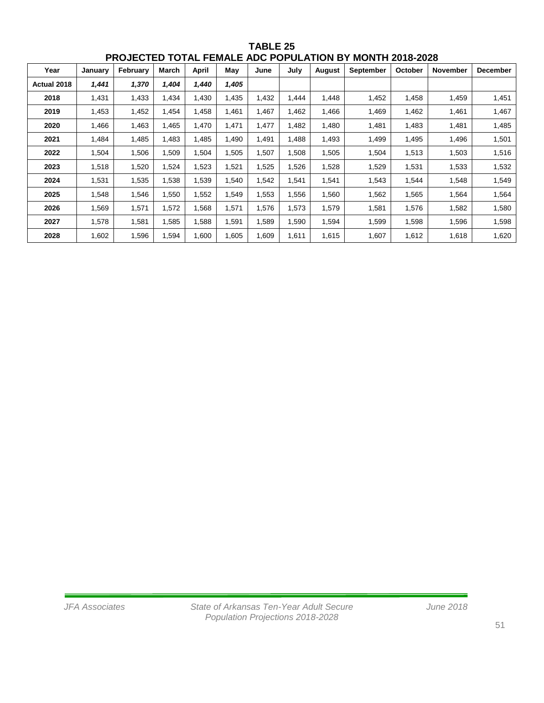| Year        | January | February | March | <b>April</b> | May   | June  | July  | <b>August</b> | <b>September</b> | October | <b>November</b> | <b>December</b> |
|-------------|---------|----------|-------|--------------|-------|-------|-------|---------------|------------------|---------|-----------------|-----------------|
| Actual 2018 | 1,441   | 1,370    | 1,404 | 1,440        | 1,405 |       |       |               |                  |         |                 |                 |
| 2018        | 1,431   | 1,433    | 1,434 | 1,430        | 1,435 | .432  | 1,444 | 1,448         | 1,452            | 1,458   | 1,459           | 1,451           |
| 2019        | 1,453   | 1,452    | 1,454 | 1,458        | 1,461 | .467  | 1,462 | 1,466         | 1,469            | 1,462   | 1,461           | 1,467           |
| 2020        | 1,466   | 1,463    | 1,465 | 1,470        | 1,471 | 1,477 | 1,482 | 1,480         | 1,481            | 1,483   | 1,481           | 1,485           |
| 2021        | 1,484   | 1,485    | 1,483 | 1,485        | 1,490 | 1,491 | 1,488 | 1,493         | 1,499            | 1,495   | 1,496           | 1,501           |
| 2022        | 1,504   | 1,506    | 1,509 | 1,504        | 1,505 | 1,507 | 1,508 | 1,505         | 1,504            | 1,513   | 1,503           | 1,516           |
| 2023        | 1,518   | 1,520    | 1,524 | 1,523        | 1,521 | 1,525 | 1,526 | 1,528         | 1,529            | 1,531   | 1,533           | 1,532           |
| 2024        | 1,531   | 1,535    | 1,538 | 1,539        | 1,540 | 1,542 | 1,541 | 1,541         | 1,543            | 1,544   | 1,548           | 1,549           |
| 2025        | 1,548   | 1,546    | 1,550 | 1,552        | 1,549 | .553  | 1,556 | 1,560         | 1,562            | 1,565   | 1,564           | 1,564           |
| 2026        | 1,569   | 1,571    | 1,572 | 1,568        | 1,571 | 1,576 | 1,573 | 1,579         | 1,581            | 1,576   | 1,582           | 1,580           |
| 2027        | 1,578   | 1,581    | 1,585 | 1,588        | 1,591 | 1,589 | 1,590 | 1,594         | 1,599            | 1,598   | 1,596           | 1,598           |
| 2028        | 1,602   | 1,596    | 1,594 | 1,600        | 1,605 | l,609 | 1,611 | 1,615         | 1,607            | 1,612   | 1,618           | 1,620           |

**TABLE 25 PROJECTED TOTAL FEMALE ADC POPULATION BY MONTH 2018-2028**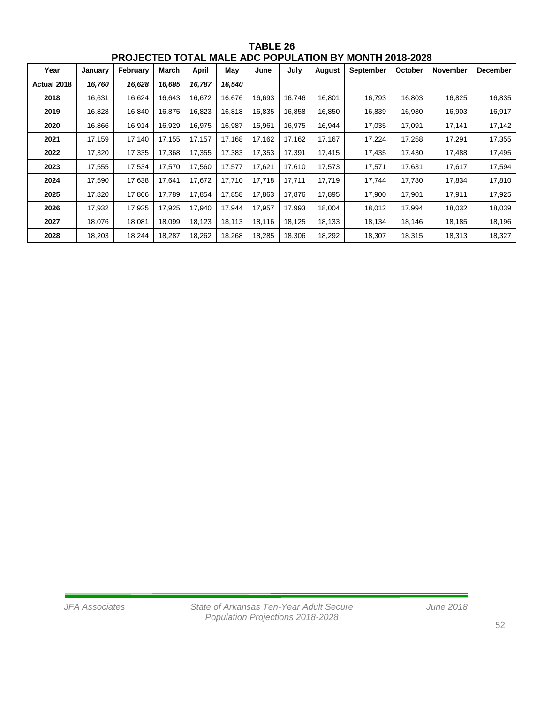| Year        | January | February | March  | <b>April</b> | May    | June   | July   | <b>August</b> | <b>September</b> | October | November | <b>December</b> |
|-------------|---------|----------|--------|--------------|--------|--------|--------|---------------|------------------|---------|----------|-----------------|
| Actual 2018 | 16,760  | 16,628   | 16,685 | 16,787       | 16,540 |        |        |               |                  |         |          |                 |
| 2018        | 16,631  | 16,624   | 16,643 | 16,672       | 16,676 | 16.693 | 16.746 | 16,801        | 16,793           | 16,803  | 16,825   | 16,835          |
| 2019        | 16,828  | 16,840   | 16,875 | 16,823       | 16,818 | 16,835 | 16,858 | 16,850        | 16,839           | 16,930  | 16,903   | 16,917          |
| 2020        | 16.866  | 16,914   | 16,929 | 16,975       | 16,987 | 16.961 | 16,975 | 16,944        | 17,035           | 17,091  | 17,141   | 17,142          |
| 2021        | 17,159  | 17,140   | 17,155 | 17,157       | 17,168 | 17,162 | 17,162 | 17,167        | 17,224           | 17,258  | 17,291   | 17,355          |
| 2022        | 17,320  | 17,335   | 17,368 | 17,355       | 17,383 | 17,353 | 17,391 | 17,415        | 17,435           | 17,430  | 17,488   | 17,495          |
| 2023        | 17,555  | 17,534   | 17,570 | 17,560       | 17,577 | 17,621 | 17,610 | 17,573        | 17,571           | 17,631  | 17,617   | 17,594          |
| 2024        | 17,590  | 17,638   | 17,641 | 17,672       | 17,710 | 17,718 | 17,711 | 17,719        | 17,744           | 17,780  | 17,834   | 17,810          |
| 2025        | 17,820  | 17,866   | 17,789 | 17,854       | 17,858 | 17,863 | 17,876 | 17,895        | 17,900           | 17,901  | 17,911   | 17,925          |
| 2026        | 17,932  | 17,925   | 17,925 | 17,940       | 17,944 | 17,957 | 17,993 | 18,004        | 18,012           | 17,994  | 18,032   | 18,039          |
| 2027        | 18,076  | 18,081   | 18,099 | 18,123       | 18,113 | 18,116 | 18,125 | 18,133        | 18,134           | 18,146  | 18,185   | 18,196          |
| 2028        | 18,203  | 18,244   | 18,287 | 18,262       | 18,268 | 18,285 | 18,306 | 18,292        | 18,307           | 18,315  | 18,313   | 18,327          |

**TABLE 26 PROJECTED TOTAL MALE ADC POPULATION BY MONTH 2018-2028**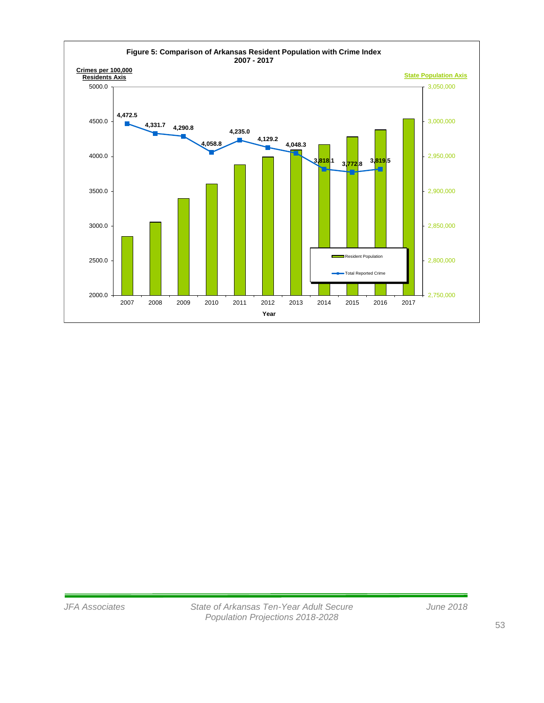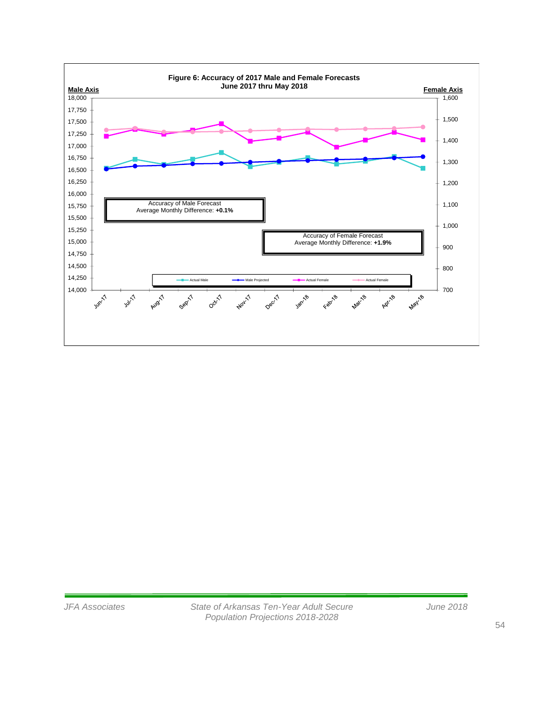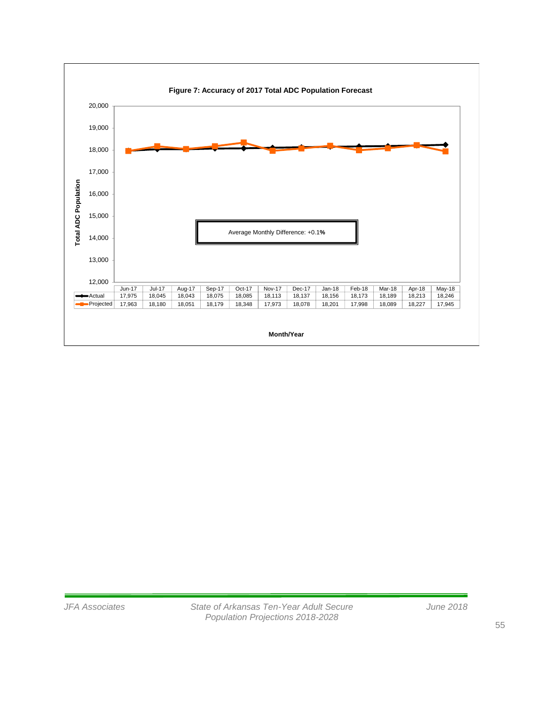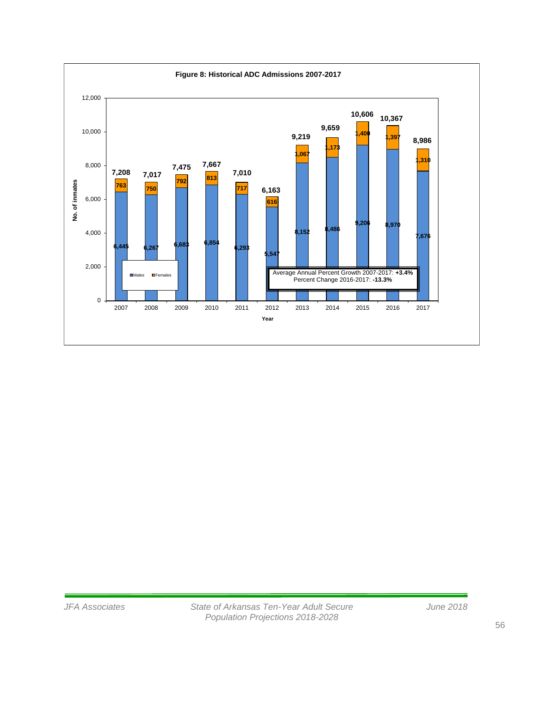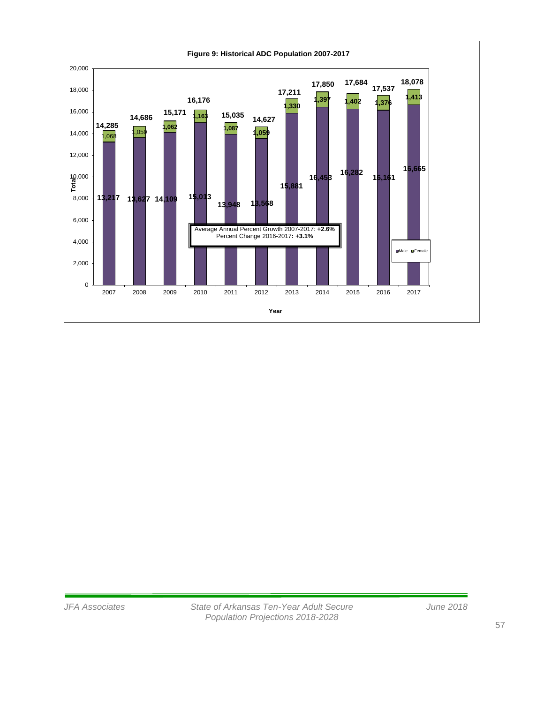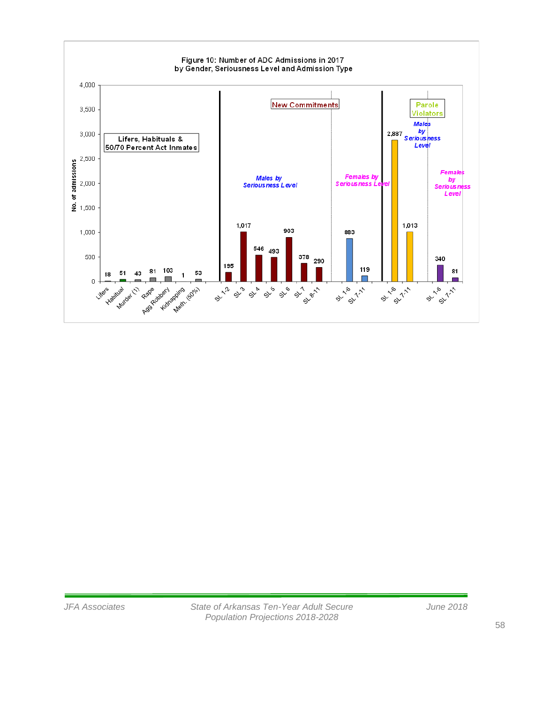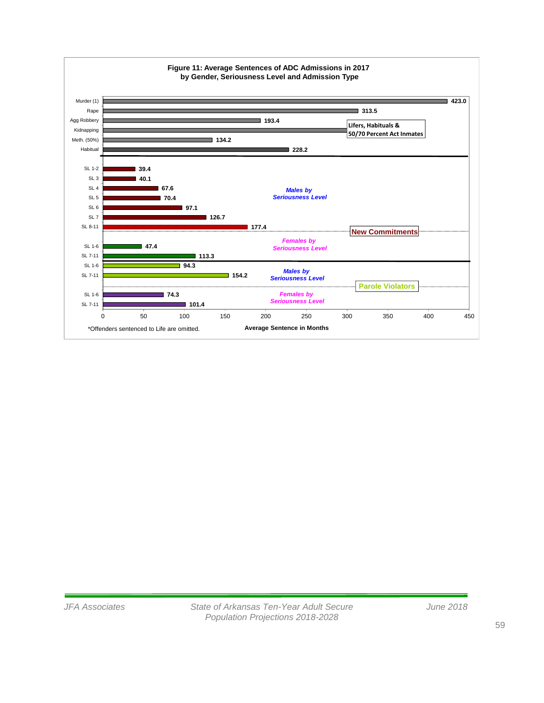